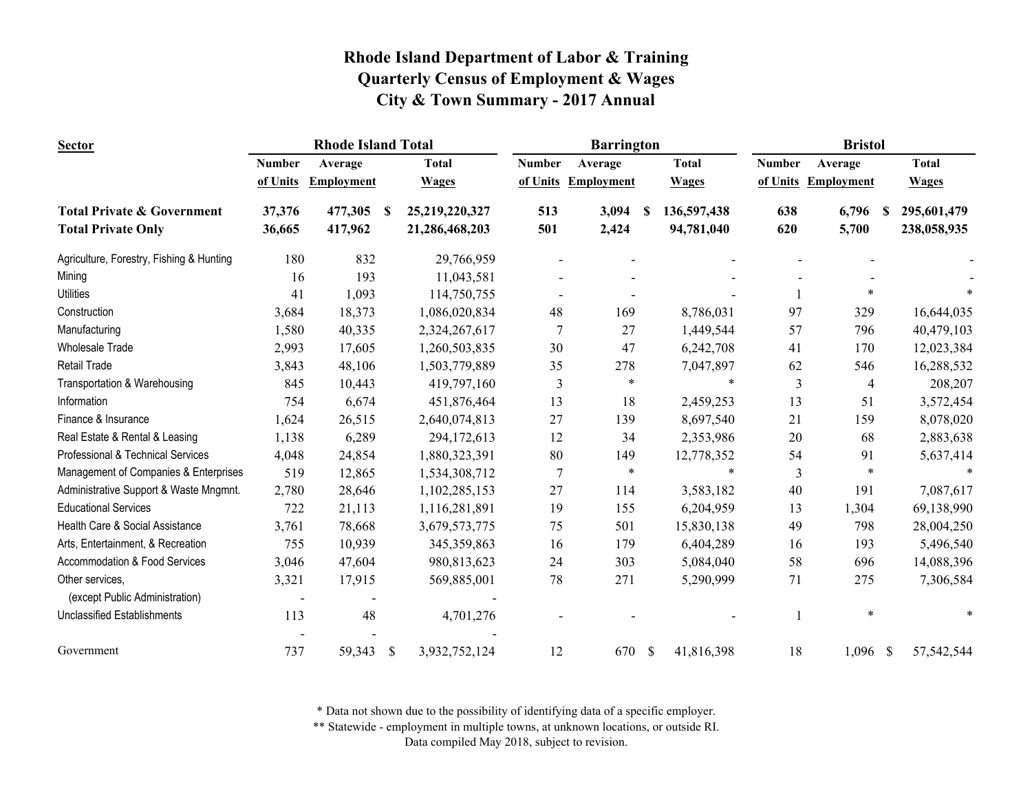| <b>Sector</b>                            |                | <b>Rhode Island Total</b> |                           |                |               | <b>Barrington</b> |              |              |               | <b>Bristol</b> |              |
|------------------------------------------|----------------|---------------------------|---------------------------|----------------|---------------|-------------------|--------------|--------------|---------------|----------------|--------------|
|                                          | <b>Number</b>  | Average                   |                           | <b>Total</b>   | <b>Number</b> | Average           |              | <b>Total</b> | <b>Number</b> | Average        | <b>Total</b> |
|                                          | of Units       | <b>Employment</b>         |                           | <b>Wages</b>   | of Units      | Employment        |              | <b>Wages</b> | of Units      | Employment     | <b>Wages</b> |
| <b>Total Private &amp; Government</b>    | 37,376         | 477,305                   | -S                        | 25,219,220,327 | 513           | 3,094             |              | 136,597,438  | 638           | 6,796<br>S     | 295,601,479  |
| <b>Total Private Only</b>                | 36,665         | 417,962                   |                           | 21,286,468,203 | 501           | 2,424             |              | 94,781,040   | 620           | 5,700          | 238,058,935  |
| Agriculture, Forestry, Fishing & Hunting | 180            | 832                       |                           | 29,766,959     |               |                   |              |              |               |                |              |
| Mining                                   | 16             | 193                       |                           | 11,043,581     |               |                   |              |              |               |                |              |
| <b>Utilities</b>                         | 41             | 1,093                     |                           | 114,750,755    |               |                   |              |              |               | *              |              |
| Construction                             | 3,684          | 18,373                    |                           | 1,086,020,834  | 48            | 169               |              | 8,786,031    | 97            | 329            | 16,644,035   |
| Manufacturing                            | 1,580          | 40,335                    |                           | 2,324,267,617  | 7             | 27                |              | 1,449,544    | 57            | 796            | 40,479,103   |
| <b>Wholesale Trade</b>                   | 2,993          | 17,605                    |                           | 1,260,503,835  | 30            | 47                |              | 6,242,708    | 41            | 170            | 12,023,384   |
| Retail Trade                             | 3,843          | 48,106                    |                           | 1,503,779,889  | 35            | 278               |              | 7,047,897    | 62            | 546            | 16,288,532   |
| Transportation & Warehousing             | 845            | 10,443                    |                           | 419,797,160    | 3             | $\ast$            |              | $\ast$       | 3             | $\overline{4}$ | 208,207      |
| Information                              | 754            | 6,674                     |                           | 451,876,464    | 13            | 18                |              | 2,459,253    | 13            | 51             | 3,572,454    |
| Finance & Insurance                      | 1,624          | 26,515                    |                           | 2,640,074,813  | 27            | 139               |              | 8,697,540    | 21            | 159            | 8,078,020    |
| Real Estate & Rental & Leasing           | 1,138          | 6,289                     |                           | 294,172,613    | 12            | 34                |              | 2,353,986    | 20            | 68             | 2,883,638    |
| Professional & Technical Services        | 4,048          | 24,854                    |                           | 1,880,323,391  | 80            | 149               |              | 12,778,352   | 54            | 91             | 5,637,414    |
| Management of Companies & Enterprises    | 519            | 12,865                    |                           | 1,534,308,712  | 7             | $\ast$            |              | $\ast$       | 3             | $\ast$         |              |
| Administrative Support & Waste Mngmnt.   | 2,780          | 28,646                    |                           | 1,102,285,153  | 27            | 114               |              | 3,583,182    | 40            | 191            | 7,087,617    |
| <b>Educational Services</b>              | 722            | 21,113                    |                           | 1,116,281,891  | 19            | 155               |              | 6,204,959    | 13            | 1,304          | 69,138,990   |
| Health Care & Social Assistance          | 3,761          | 78,668                    |                           | 3,679,573,775  | 75            | 501               |              | 15,830,138   | 49            | 798            | 28,004,250   |
| Arts, Entertainment, & Recreation        | 755            | 10,939                    |                           | 345,359,863    | 16            | 179               |              | 6,404,289    | 16            | 193            | 5,496,540    |
| Accommodation & Food Services            | 3,046          | 47,604                    |                           | 980,813,623    | 24            | 303               |              | 5,084,040    | 58            | 696            | 14,088,396   |
| Other services.                          | 3,321          | 17,915                    |                           | 569,885,001    | 78            | 271               |              | 5,290,999    | 71            | 275            | 7,306,584    |
| (except Public Administration)           | $\blacksquare$ |                           |                           |                |               |                   |              |              |               |                |              |
| <b>Unclassified Establishments</b>       | 113            | 48                        |                           | 4,701,276      |               |                   |              |              |               | $\ast$         |              |
| Government                               | 737            | 59,343                    | $\boldsymbol{\mathsf{S}}$ | 3,932,752,124  | 12            | 670               | $\mathbb{S}$ | 41,816,398   | 18            | $1,096$ \$     | 57,542,544   |

\* Data not shown due to the possibility of identifying data of a specific employer.

\*\* Statewide - employment in multiple towns, at unknown locations, or outside RI.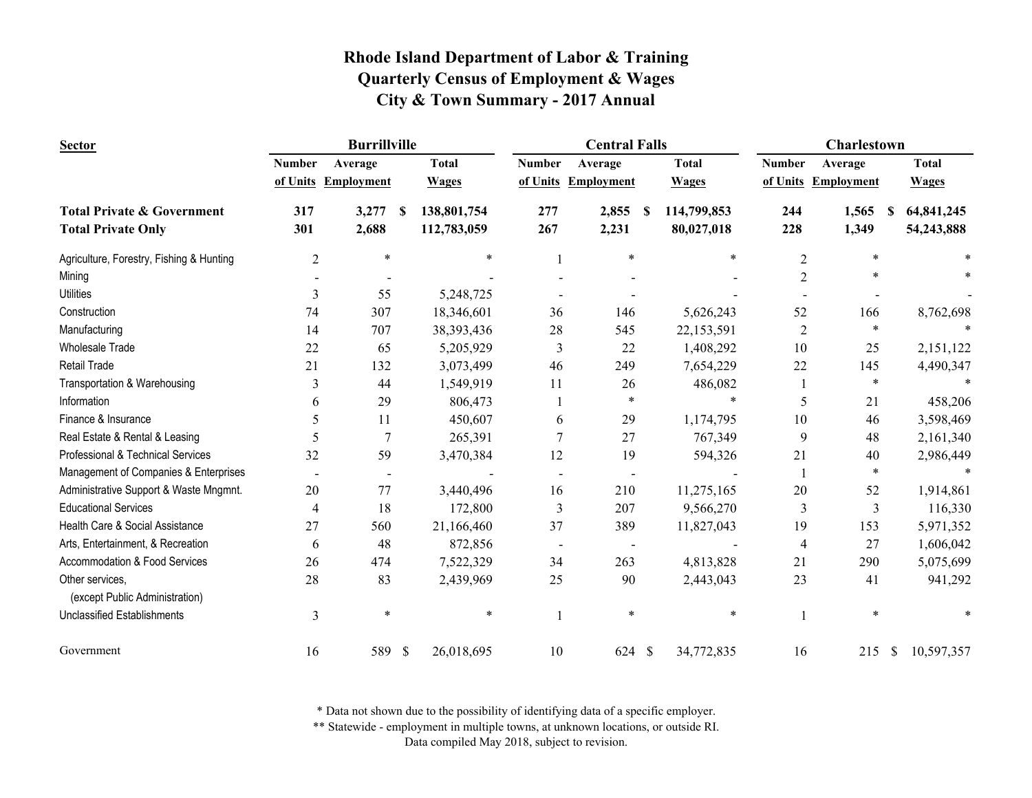| <b>Sector</b>                                     | <b>Burrillville</b> |                     |              |              | <b>Central Falls</b> |                          |      |              | <b>Charlestown</b> |                     |                  |  |
|---------------------------------------------------|---------------------|---------------------|--------------|--------------|----------------------|--------------------------|------|--------------|--------------------|---------------------|------------------|--|
|                                                   | <b>Number</b>       | Average             |              | <b>Total</b> | <b>Number</b>        | Average                  |      | <b>Total</b> | <b>Number</b>      | Average             | <b>Total</b>     |  |
|                                                   |                     | of Units Employment |              | <b>Wages</b> | of Units             | <b>Employment</b>        |      | <b>Wages</b> |                    | of Units Employment | <b>Wages</b>     |  |
| <b>Total Private &amp; Government</b>             | 317                 | 3,277               | S            | 138,801,754  | 277                  | 2,855                    | - \$ | 114,799,853  | 244                | 1,565<br>-S         | 64,841,245       |  |
| <b>Total Private Only</b>                         | 301                 | 2,688               |              | 112,783,059  | 267                  | 2,231                    |      | 80,027,018   | 228                | 1,349               | 54,243,888       |  |
| Agriculture, Forestry, Fishing & Hunting          | $\overline{2}$      | $\ast$              |              | *            |                      | $\ast$                   |      | *            | 2                  | $\ast$              |                  |  |
| Mining                                            |                     |                     |              |              |                      |                          |      |              | 2                  |                     |                  |  |
| <b>Utilities</b>                                  | 3                   | 55                  |              | 5,248,725    |                      |                          |      |              |                    |                     |                  |  |
| Construction                                      | 74                  | 307                 |              | 18,346,601   | 36                   | 146                      |      | 5,626,243    | 52                 | 166                 | 8,762,698        |  |
| Manufacturing                                     | 14                  | 707                 |              | 38, 393, 436 | 28                   | 545                      |      | 22,153,591   | 2                  | $\ast$              |                  |  |
| <b>Wholesale Trade</b>                            | 22                  | 65                  |              | 5,205,929    | 3                    | 22                       |      | 1,408,292    | 10                 | 25                  | 2,151,122        |  |
| Retail Trade                                      | 21                  | 132                 |              | 3,073,499    | 46                   | 249                      |      | 7,654,229    | 22                 | 145                 | 4,490,347        |  |
| Transportation & Warehousing                      | 3                   | 44                  |              | 1,549,919    | 11                   | 26                       |      | 486,082      | 1                  | $\ast$              |                  |  |
| Information                                       | 6                   | 29                  |              | 806,473      |                      | $\ast$                   |      |              | 5                  | 21                  | 458,206          |  |
| Finance & Insurance                               | 5                   | 11                  |              | 450,607      | 6                    | 29                       |      | 1,174,795    | 10                 | 46                  | 3,598,469        |  |
| Real Estate & Rental & Leasing                    |                     | $\overline{7}$      |              | 265,391      | $\overline{7}$       | 27                       |      | 767,349      | 9                  | 48                  | 2,161,340        |  |
| Professional & Technical Services                 | 32                  | 59                  |              | 3,470,384    | 12                   | 19                       |      | 594,326      | 21                 | 40                  | 2,986,449        |  |
| Management of Companies & Enterprises             |                     |                     |              |              |                      |                          |      |              |                    | $\ast$              |                  |  |
| Administrative Support & Waste Mngmnt.            | 20                  | 77                  |              | 3,440,496    | 16                   | 210                      |      | 11,275,165   | 20                 | 52                  | 1,914,861        |  |
| <b>Educational Services</b>                       | 4                   | 18                  |              | 172,800      | 3                    | 207                      |      | 9,566,270    | 3                  | 3                   | 116,330          |  |
| Health Care & Social Assistance                   | 27                  | 560                 |              | 21,166,460   | 37                   | 389                      |      | 11,827,043   | 19                 | 153                 | 5,971,352        |  |
| Arts, Entertainment, & Recreation                 | 6                   | 48                  |              | 872,856      |                      | $\overline{\phantom{a}}$ |      |              | $\overline{4}$     | 27                  | 1,606,042        |  |
| Accommodation & Food Services                     | 26                  | 474                 |              | 7,522,329    | 34                   | 263                      |      | 4,813,828    | 21                 | 290                 | 5,075,699        |  |
| Other services,<br>(except Public Administration) | 28                  | 83                  |              | 2,439,969    | 25                   | 90                       |      | 2,443,043    | 23                 | 41                  | 941,292          |  |
| <b>Unclassified Establishments</b>                | 3                   | $\ast$              |              | *            |                      | $\ast$                   |      | $\ast$       |                    | $\ast$              |                  |  |
| Government                                        | 16                  | 589                 | $\mathbb{S}$ | 26,018,695   | 10                   | 624 \$                   |      | 34,772,835   | 16                 | 215                 | 10,597,357<br>-S |  |

\* Data not shown due to the possibility of identifying data of a specific employer.

\*\* Statewide - employment in multiple towns, at unknown locations, or outside RI.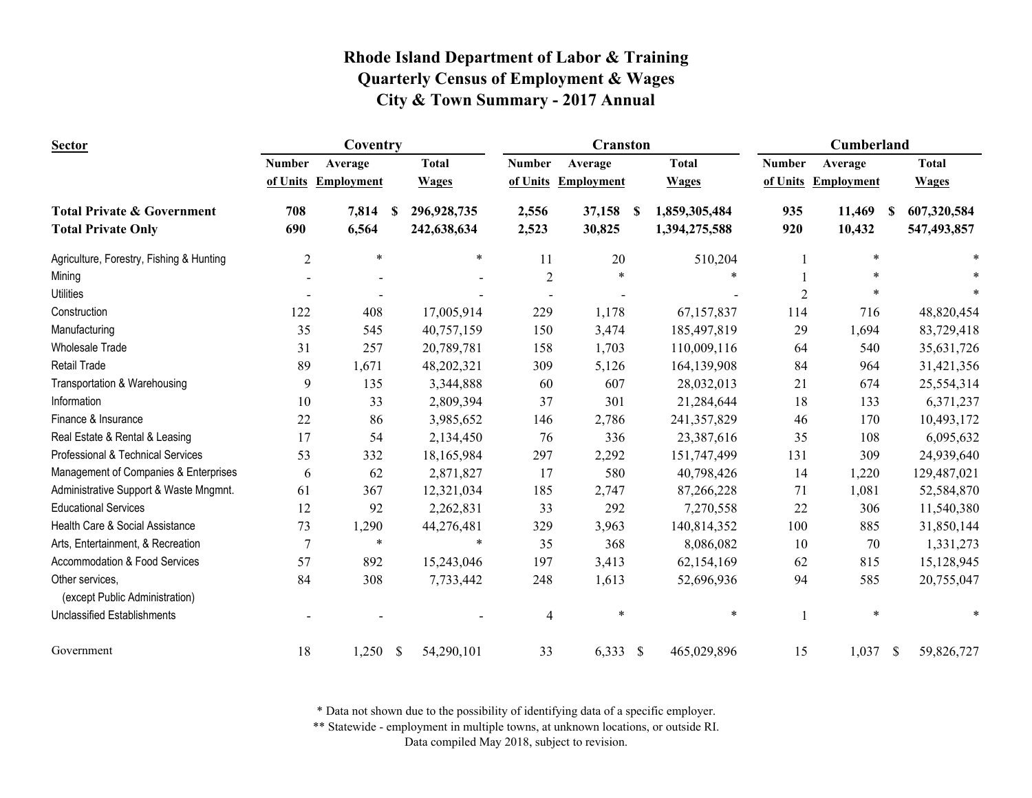| <b>Sector</b>                                     | Coventry       |                   |               |              | <b>Cranston</b> |                     |   |               | Cumberland     |                     |   |              |
|---------------------------------------------------|----------------|-------------------|---------------|--------------|-----------------|---------------------|---|---------------|----------------|---------------------|---|--------------|
|                                                   | <b>Number</b>  | Average           |               | <b>Total</b> | <b>Number</b>   | Average             |   | <b>Total</b>  | <b>Number</b>  | Average             |   | <b>Total</b> |
|                                                   | of Units       | <b>Employment</b> |               | <b>Wages</b> |                 | of Units Employment |   | <b>Wages</b>  |                | of Units Employment |   | <b>Wages</b> |
| <b>Total Private &amp; Government</b>             | 708            | 7,814             | -S            | 296,928,735  | 2,556           | 37,158              | S | 1,859,305,484 | 935            | 11,469              | S | 607,320,584  |
| <b>Total Private Only</b>                         | 690            | 6,564             |               | 242,638,634  | 2,523           | 30,825              |   | 1,394,275,588 | 920            | 10,432              |   | 547,493,857  |
| Agriculture, Forestry, Fishing & Hunting          | $\overline{2}$ | $\ast$            |               | $\ast$       | 11              | 20                  |   | 510,204       |                | *                   |   |              |
| Mining                                            |                |                   |               |              | $\overline{2}$  | $\ast$              |   |               |                | $\ast$              |   |              |
| <b>Utilities</b>                                  |                |                   |               |              |                 |                     |   |               | $\overline{2}$ |                     |   |              |
| Construction                                      | 122            | 408               |               | 17,005,914   | 229             | 1,178               |   | 67,157,837    | 114            | 716                 |   | 48,820,454   |
| Manufacturing                                     | 35             | 545               |               | 40,757,159   | 150             | 3,474               |   | 185,497,819   | 29             | 1,694               |   | 83,729,418   |
| <b>Wholesale Trade</b>                            | 31             | 257               |               | 20,789,781   | 158             | 1,703               |   | 110,009,116   | 64             | 540                 |   | 35,631,726   |
| <b>Retail Trade</b>                               | 89             | 1,671             |               | 48,202,321   | 309             | 5,126               |   | 164,139,908   | 84             | 964                 |   | 31,421,356   |
| Transportation & Warehousing                      | 9              | 135               |               | 3,344,888    | 60              | 607                 |   | 28,032,013    | 21             | 674                 |   | 25,554,314   |
| Information                                       | 10             | 33                |               | 2,809,394    | 37              | 301                 |   | 21,284,644    | 18             | 133                 |   | 6,371,237    |
| Finance & Insurance                               | 22             | 86                |               | 3,985,652    | 146             | 2,786               |   | 241,357,829   | 46             | 170                 |   | 10,493,172   |
| Real Estate & Rental & Leasing                    | 17             | 54                |               | 2,134,450    | 76              | 336                 |   | 23,387,616    | 35             | 108                 |   | 6,095,632    |
| Professional & Technical Services                 | 53             | 332               |               | 18,165,984   | 297             | 2,292               |   | 151,747,499   | 131            | 309                 |   | 24,939,640   |
| Management of Companies & Enterprises             | 6              | 62                |               | 2,871,827    | 17              | 580                 |   | 40,798,426    | 14             | 1,220               |   | 129,487,021  |
| Administrative Support & Waste Mngmnt.            | 61             | 367               |               | 12,321,034   | 185             | 2,747               |   | 87,266,228    | 71             | 1,081               |   | 52,584,870   |
| <b>Educational Services</b>                       | 12             | 92                |               | 2,262,831    | 33              | 292                 |   | 7,270,558     | 22             | 306                 |   | 11,540,380   |
| Health Care & Social Assistance                   | 73             | 1,290             |               | 44,276,481   | 329             | 3,963               |   | 140,814,352   | 100            | 885                 |   | 31,850,144   |
| Arts, Entertainment, & Recreation                 | $\overline{7}$ | $\ast$            |               | $\ast$       | 35              | 368                 |   | 8,086,082     | 10             | 70                  |   | 1,331,273    |
| Accommodation & Food Services                     | 57             | 892               |               | 15,243,046   | 197             | 3,413               |   | 62,154,169    | 62             | 815                 |   | 15,128,945   |
| Other services,<br>(except Public Administration) | 84             | 308               |               | 7,733,442    | 248             | 1,613               |   | 52,696,936    | 94             | 585                 |   | 20,755,047   |
| <b>Unclassified Establishments</b>                |                |                   |               |              | 4               | $\ast$              |   | $\ast$        | $\mathbf{1}$   | *                   |   |              |
| Government                                        | 18             | 1,250             | $\mathcal{S}$ | 54,290,101   | 33              | $6,333$ \$          |   | 465,029,896   | 15             | $1,037$ \$          |   | 59,826,727   |

\* Data not shown due to the possibility of identifying data of a specific employer.

\*\* Statewide - employment in multiple towns, at unknown locations, or outside RI.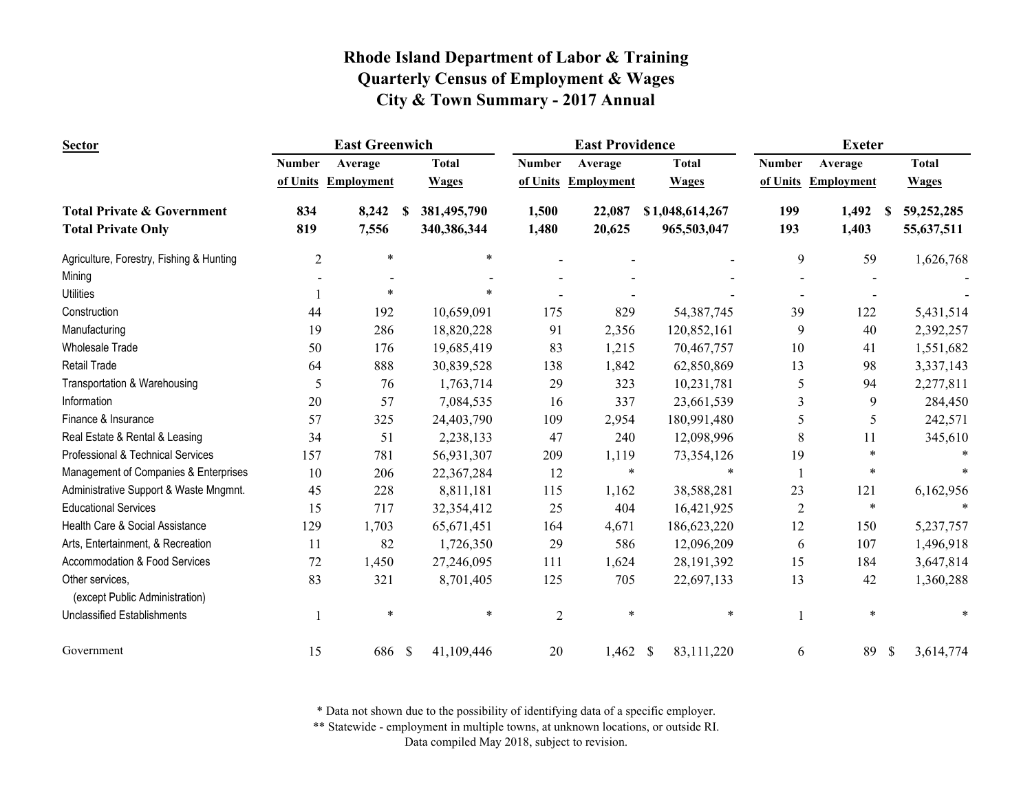| <b>Sector</b>                            | <b>East Greenwich</b> |                     |          |              |                | <b>East Providence</b> |                 | <b>Exeter</b>  |                     |                 |  |
|------------------------------------------|-----------------------|---------------------|----------|--------------|----------------|------------------------|-----------------|----------------|---------------------|-----------------|--|
|                                          | <b>Number</b>         | Average             |          | <b>Total</b> | <b>Number</b>  | Average                | <b>Total</b>    | <b>Number</b>  | Average             | <b>Total</b>    |  |
|                                          |                       | of Units Employment |          | <b>Wages</b> |                | of Units Employment    | <b>Wages</b>    |                | of Units Employment | <b>Wages</b>    |  |
| <b>Total Private &amp; Government</b>    | 834                   | 8,242               | <b>S</b> | 381,495,790  | 1,500          | 22,087                 | \$1,048,614,267 | 199            | 1,492<br>-S         | 59,252,285      |  |
| <b>Total Private Only</b>                | 819                   | 7,556               |          | 340,386,344  | 1,480          | 20,625                 | 965,503,047     | 193            | 1,403               | 55,637,511      |  |
| Agriculture, Forestry, Fishing & Hunting | $\overline{2}$        | $\ast$              |          | $\ast$       |                |                        |                 | 9              | 59                  | 1,626,768       |  |
| Mining                                   |                       |                     |          |              |                |                        |                 |                |                     |                 |  |
| <b>Utilities</b>                         |                       | $\ast$              |          | $\ast$       |                |                        |                 |                |                     |                 |  |
| Construction                             | 44                    | 192                 |          | 10,659,091   | 175            | 829                    | 54, 387, 745    | 39             | 122                 | 5,431,514       |  |
| Manufacturing                            | 19                    | 286                 |          | 18,820,228   | 91             | 2,356                  | 120,852,161     | 9              | 40                  | 2,392,257       |  |
| <b>Wholesale Trade</b>                   | 50                    | 176                 |          | 19,685,419   | 83             | 1,215                  | 70,467,757      | 10             | 41                  | 1,551,682       |  |
| <b>Retail Trade</b>                      | 64                    | 888                 |          | 30,839,528   | 138            | 1,842                  | 62,850,869      | 13             | 98                  | 3,337,143       |  |
| Transportation & Warehousing             | 5                     | 76                  |          | 1,763,714    | 29             | 323                    | 10,231,781      | 5              | 94                  | 2,277,811       |  |
| Information                              | 20                    | 57                  |          | 7,084,535    | 16             | 337                    | 23,661,539      | 3              | 9                   | 284,450         |  |
| Finance & Insurance                      | 57                    | 325                 |          | 24,403,790   | 109            | 2,954                  | 180,991,480     | 5              | 5                   | 242,571         |  |
| Real Estate & Rental & Leasing           | 34                    | 51                  |          | 2,238,133    | 47             | 240                    | 12,098,996      | 8              | 11                  | 345,610         |  |
| Professional & Technical Services        | 157                   | 781                 |          | 56,931,307   | 209            | 1,119                  | 73,354,126      | 19             | *                   |                 |  |
| Management of Companies & Enterprises    | 10                    | 206                 |          | 22,367,284   | 12             | $\ast$                 | $\ast$          | $\mathbf{1}$   | $\ast$              |                 |  |
| Administrative Support & Waste Mngmnt.   | 45                    | 228                 |          | 8,811,181    | 115            | 1,162                  | 38,588,281      | 23             | 121                 | 6,162,956       |  |
| <b>Educational Services</b>              | 15                    | 717                 |          | 32,354,412   | 25             | 404                    | 16,421,925      | $\overline{2}$ | $\ast$              | $\ast$          |  |
| Health Care & Social Assistance          | 129                   | 1,703               |          | 65,671,451   | 164            | 4,671                  | 186,623,220     | 12             | 150                 | 5,237,757       |  |
| Arts, Entertainment, & Recreation        | 11                    | 82                  |          | 1,726,350    | 29             | 586                    | 12,096,209      | 6              | 107                 | 1,496,918       |  |
| Accommodation & Food Services            | 72                    | 1,450               |          | 27,246,095   | 111            | 1,624                  | 28, 191, 392    | 15             | 184                 | 3,647,814       |  |
| Other services,                          | 83                    | 321                 |          | 8,701,405    | 125            | 705                    | 22,697,133      | 13             | 42                  | 1,360,288       |  |
| (except Public Administration)           |                       |                     |          |              |                |                        |                 |                |                     |                 |  |
| <b>Unclassified Establishments</b>       |                       | $\ast$              |          | $\ast$       | $\overline{c}$ | $\ast$                 | $\ast$          | 1              | $\ast$              |                 |  |
| Government                               | 15                    | 686                 | \$       | 41,109,446   | 20             | $1,462$ \$             | 83,111,220      | 6              | 89                  | 3,614,774<br>\$ |  |

\* Data not shown due to the possibility of identifying data of a specific employer.

\*\* Statewide - employment in multiple towns, at unknown locations, or outside RI.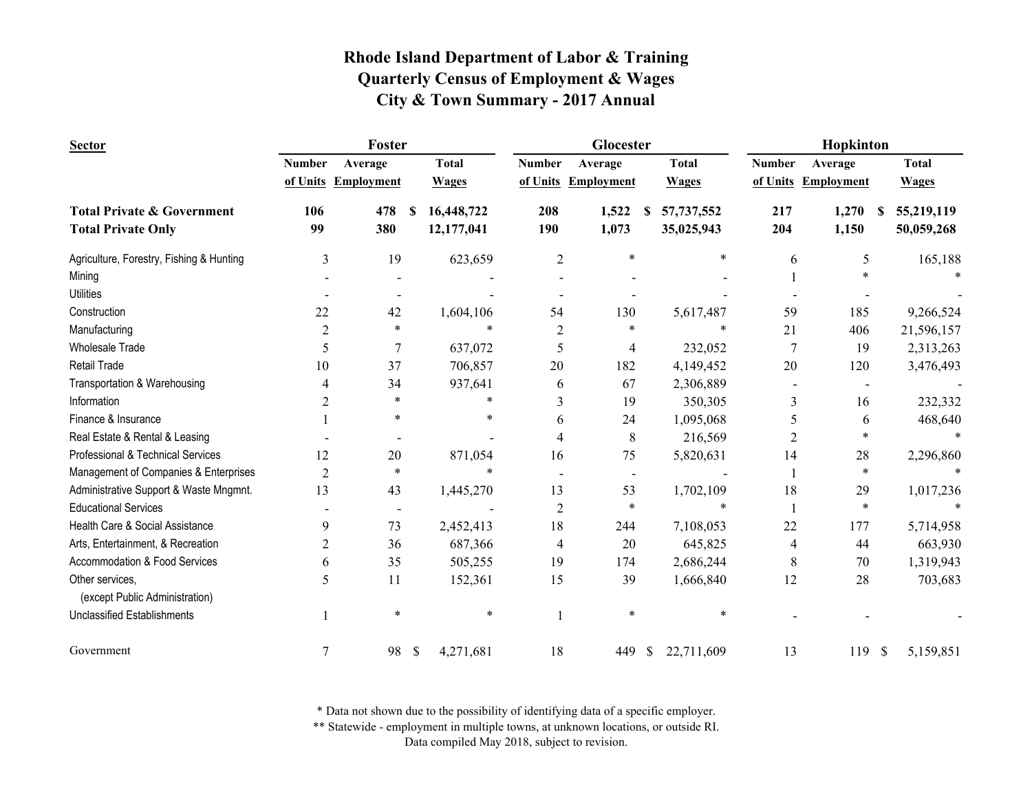| <b>Sector</b>                                     | Foster         |                          |              |              |                | Glocester           |                     | Hopkinton     |                     |               |              |
|---------------------------------------------------|----------------|--------------------------|--------------|--------------|----------------|---------------------|---------------------|---------------|---------------------|---------------|--------------|
|                                                   | <b>Number</b>  | Average                  |              | <b>Total</b> | <b>Number</b>  | Average             | <b>Total</b>        | <b>Number</b> | Average             |               | <b>Total</b> |
|                                                   | of Units       | <b>Employment</b>        |              | <b>Wages</b> |                | of Units Employment | <b>Wages</b>        |               | of Units Employment |               | <b>Wages</b> |
| <b>Total Private &amp; Government</b>             | 106            | 478                      | -S           | 16,448,722   | 208            | 1,522               | 57, 737, 552<br>\$. | 217           | 1,270               | -8            | 55,219,119   |
| <b>Total Private Only</b>                         | 99             | 380                      |              | 12,177,041   | 190            | 1,073               | 35,025,943          | 204           | 1,150               |               | 50,059,268   |
| Agriculture, Forestry, Fishing & Hunting          | 3              | 19                       |              | 623,659      | $\overline{c}$ | $\ast$              | $\ast$              | 6             | 5                   |               | 165,188      |
| Mining                                            |                |                          |              |              |                |                     |                     |               | $\ast$              |               |              |
| <b>Utilities</b>                                  |                |                          |              |              |                |                     |                     |               |                     |               |              |
| Construction                                      | 22             | 42                       |              | 1,604,106    | 54             | 130                 | 5,617,487           | 59            | 185                 |               | 9,266,524    |
| Manufacturing                                     | $\overline{c}$ | $\ast$                   |              | $\ast$       | $\overline{2}$ | $\ast$              | *                   | 21            | 406                 |               | 21,596,157   |
| <b>Wholesale Trade</b>                            | 5              | $\overline{7}$           |              | 637,072      | 5              | 4                   | 232,052             | 7             | 19                  |               | 2,313,263    |
| <b>Retail Trade</b>                               | 10             | 37                       |              | 706,857      | 20             | 182                 | 4,149,452           | 20            | 120                 |               | 3,476,493    |
| Transportation & Warehousing                      | 4              | 34                       |              | 937,641      | 6              | 67                  | 2,306,889           |               |                     |               |              |
| Information                                       | $\overline{2}$ | $\ast$                   |              | $\ast$       | 3              | 19                  | 350,305             | 3             | 16                  |               | 232,332      |
| Finance & Insurance                               |                | $\ast$                   |              | $\ast$       | 6              | 24                  | 1,095,068           | 5             | 6                   |               | 468,640      |
| Real Estate & Rental & Leasing                    |                |                          |              |              | 4              | 8                   | 216,569             | 2             | *                   |               |              |
| Professional & Technical Services                 | 12             | 20                       |              | 871,054      | 16             | 75                  | 5,820,631           | 14            | 28                  |               | 2,296,860    |
| Management of Companies & Enterprises             | $\overline{2}$ | $\ast$                   |              | $\ast$       |                |                     |                     |               | $\ast$              |               |              |
| Administrative Support & Waste Mngmnt.            | 13             | 43                       |              | 1,445,270    | 13             | 53                  | 1,702,109           | 18            | 29                  |               | 1,017,236    |
| <b>Educational Services</b>                       |                | $\overline{\phantom{0}}$ |              |              | $\overline{2}$ | $\ast$              | *                   |               | $\ast$              |               |              |
| Health Care & Social Assistance                   | 9              | 73                       |              | 2,452,413    | 18             | 244                 | 7,108,053           | 22            | 177                 |               | 5,714,958    |
| Arts, Entertainment, & Recreation                 | $\overline{c}$ | 36                       |              | 687,366      | 4              | 20                  | 645,825             | 4             | 44                  |               | 663,930      |
| Accommodation & Food Services                     | 6              | 35                       |              | 505,255      | 19             | 174                 | 2,686,244           | 8             | 70                  |               | 1,319,943    |
| Other services,<br>(except Public Administration) | 5              | 11                       |              | 152,361      | 15             | 39                  | 1,666,840           | 12            | 28                  |               | 703,683      |
| <b>Unclassified Establishments</b>                |                | $\ast$                   |              | $\ast$       |                | $\ast$              | $\ast$              |               |                     |               |              |
| Government                                        | $\overline{7}$ | 98                       | $\mathbb{S}$ | 4,271,681    | 18             | 449                 | 22,711,609<br>\$    | 13            | 119                 | $\mathcal{S}$ | 5,159,851    |

\* Data not shown due to the possibility of identifying data of a specific employer.

\*\* Statewide - employment in multiple towns, at unknown locations, or outside RI.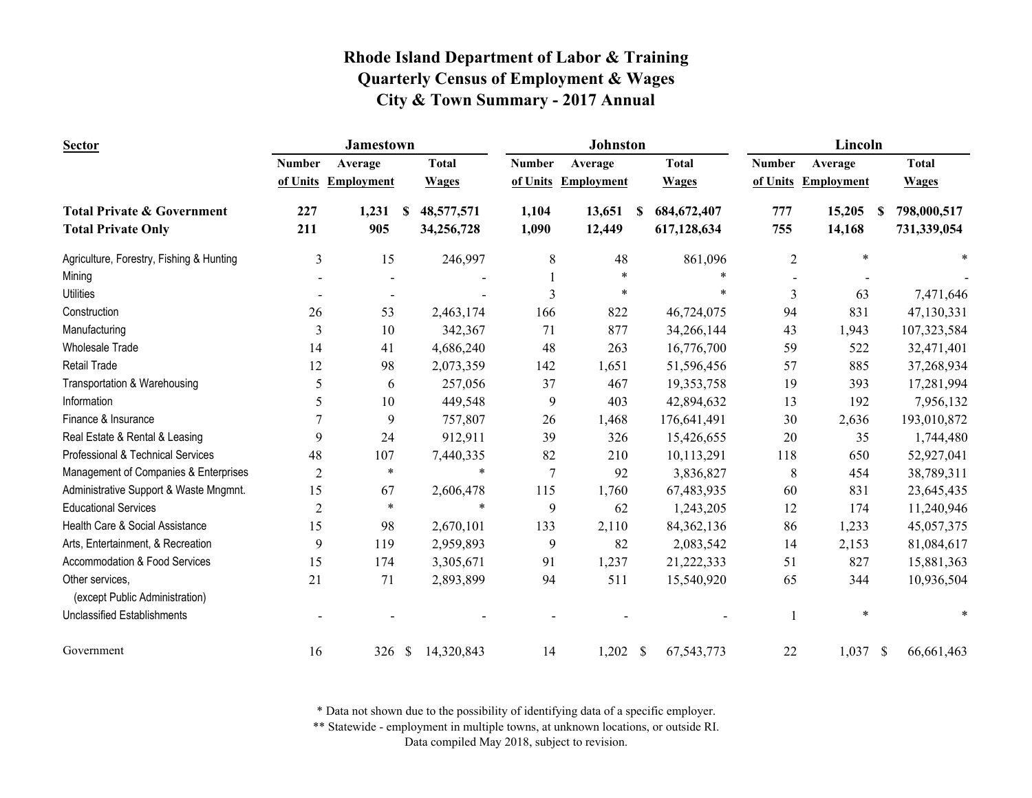| <b>Sector</b>                                     |                | <b>Jamestown</b>         |                             |                | <b>Johnston</b>   |                    | Lincoln        |                     |                             |  |
|---------------------------------------------------|----------------|--------------------------|-----------------------------|----------------|-------------------|--------------------|----------------|---------------------|-----------------------------|--|
|                                                   | <b>Number</b>  | Average                  | <b>Total</b>                | <b>Number</b>  | Average           | <b>Total</b>       | <b>Number</b>  | Average             | <b>Total</b>                |  |
|                                                   |                | of Units Employment      | <b>Wages</b>                | of Units       | <b>Employment</b> | <b>Wages</b>       |                | of Units Employment | <b>Wages</b>                |  |
| <b>Total Private &amp; Government</b>             | 227            | 1,231                    | 48,577,571<br>-S            | 1,104          | 13,651            | 684, 672, 407<br>S | 777            | 15,205              | 798,000,517<br>S            |  |
| <b>Total Private Only</b>                         | 211            | 905                      | 34,256,728                  | 1,090          | 12,449            | 617,128,634        | 755            | 14,168              | 731,339,054                 |  |
| Agriculture, Forestry, Fishing & Hunting          | $\mathfrak{Z}$ | 15                       | 246,997                     | 8              | 48                | 861,096            | $\overline{c}$ | $\ast$              |                             |  |
| Mining                                            |                |                          |                             |                | $\ast$            |                    |                |                     |                             |  |
| <b>Utilities</b>                                  |                | $\overline{\phantom{a}}$ |                             | $\mathbf{3}$   | $\ast$            | $\ast$             | $\overline{3}$ | 63                  | 7,471,646                   |  |
| Construction                                      | 26             | 53                       | 2,463,174                   | 166            | 822               | 46,724,075         | 94             | 831                 | 47,130,331                  |  |
| Manufacturing                                     | 3              | 10                       | 342,367                     | 71             | 877               | 34,266,144         | 43             | 1,943               | 107,323,584                 |  |
| <b>Wholesale Trade</b>                            | 14             | 41                       | 4,686,240                   | 48             | 263               | 16,776,700         | 59             | 522                 | 32,471,401                  |  |
| Retail Trade                                      | 12             | 98                       | 2,073,359                   | 142            | 1,651             | 51,596,456         | 57             | 885                 | 37,268,934                  |  |
| Transportation & Warehousing                      | 5              | 6                        | 257,056                     | 37             | 467               | 19,353,758         | 19             | 393                 | 17,281,994                  |  |
| Information                                       | 5              | 10                       | 449,548                     | 9              | 403               | 42,894,632         | 13             | 192                 | 7,956,132                   |  |
| Finance & Insurance                               | 7              | 9                        | 757,807                     | 26             | 1,468             | 176,641,491        | 30             | 2,636               | 193,010,872                 |  |
| Real Estate & Rental & Leasing                    | 9              | 24                       | 912,911                     | 39             | 326               | 15,426,655         | 20             | 35                  | 1,744,480                   |  |
| Professional & Technical Services                 | 48             | 107                      | 7,440,335                   | 82             | 210               | 10,113,291         | 118            | 650                 | 52,927,041                  |  |
| Management of Companies & Enterprises             | $\overline{2}$ | $\ast$                   | $\ast$                      | $\overline{7}$ | 92                | 3,836,827          | 8              | 454                 | 38,789,311                  |  |
| Administrative Support & Waste Mngmnt.            | 15             | 67                       | 2,606,478                   | 115            | 1,760             | 67,483,935         | 60             | 831                 | 23,645,435                  |  |
| <b>Educational Services</b>                       | $\overline{2}$ | $\ast$                   | *                           | 9              | 62                | 1,243,205          | 12             | 174                 | 11,240,946                  |  |
| Health Care & Social Assistance                   | 15             | 98                       | 2,670,101                   | 133            | 2,110             | 84, 362, 136       | 86             | 1,233               | 45,057,375                  |  |
| Arts, Entertainment, & Recreation                 | 9              | 119                      | 2,959,893                   | 9              | 82                | 2,083,542          | 14             | 2,153               | 81,084,617                  |  |
| Accommodation & Food Services                     | 15             | 174                      | 3,305,671                   | 91             | 1,237             | 21,222,333         | 51             | 827                 | 15,881,363                  |  |
| Other services,<br>(except Public Administration) | 21             | 71                       | 2,893,899                   | 94             | 511               | 15,540,920         | 65             | 344                 | 10,936,504                  |  |
| <b>Unclassified Establishments</b>                |                |                          |                             |                |                   |                    |                | $\ast$              |                             |  |
| Government                                        | 16             | 326                      | $\mathcal{S}$<br>14,320,843 | 14             | $1,202$ \$        | 67,543,773         | 22             | 1,037               | $\mathcal{S}$<br>66,661,463 |  |

\* Data not shown due to the possibility of identifying data of a specific employer.

\*\* Statewide - employment in multiple towns, at unknown locations, or outside RI.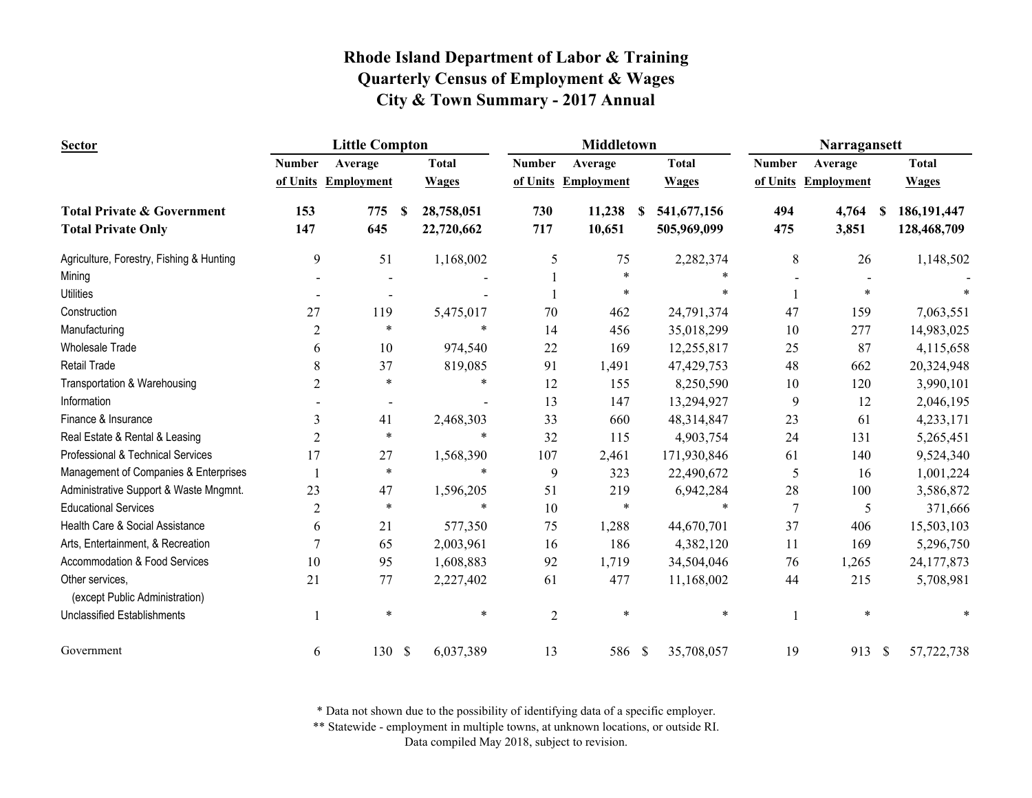| <b>Sector</b>                                     | <b>Little Compton</b> |                     |   |              | <b>Middletown</b> |                     |   |              | Narragansett   |                     |               |               |
|---------------------------------------------------|-----------------------|---------------------|---|--------------|-------------------|---------------------|---|--------------|----------------|---------------------|---------------|---------------|
|                                                   | <b>Number</b>         | Average             |   | <b>Total</b> | <b>Number</b>     | Average             |   | <b>Total</b> | <b>Number</b>  | Average             |               | <b>Total</b>  |
|                                                   |                       | of Units Employment |   | <b>Wages</b> |                   | of Units Employment |   | <b>Wages</b> |                | of Units Employment |               | <b>Wages</b>  |
| <b>Total Private &amp; Government</b>             | 153                   | 775                 | S | 28,758,051   | 730               | 11,238              | S | 541,677,156  | 494            | 4,764<br><b>S</b>   |               | 186, 191, 447 |
| <b>Total Private Only</b>                         | 147                   | 645                 |   | 22,720,662   | 717               | 10,651              |   | 505,969,099  | 475            | 3,851               |               | 128,468,709   |
| Agriculture, Forestry, Fishing & Hunting          | 9                     | 51                  |   | 1,168,002    | 5                 | 75                  |   | 2,282,374    | 8              | 26                  |               | 1,148,502     |
| Mining                                            |                       |                     |   |              |                   | $\ast$              |   |              |                |                     |               |               |
| <b>Utilities</b>                                  |                       |                     |   |              |                   | $\ast$              |   | *            |                |                     |               |               |
| Construction                                      | 27                    | 119                 |   | 5,475,017    | 70                | 462                 |   | 24,791,374   | 47             | 159                 |               | 7,063,551     |
| Manufacturing                                     | 2                     | $\ast$              |   | $\ast$       | 14                | 456                 |   | 35,018,299   | 10             | 277                 |               | 14,983,025    |
| <b>Wholesale Trade</b>                            | 6                     | 10                  |   | 974,540      | 22                | 169                 |   | 12,255,817   | 25             | 87                  |               | 4,115,658     |
| Retail Trade                                      | 8                     | 37                  |   | 819,085      | 91                | 1,491               |   | 47,429,753   | 48             | 662                 |               | 20,324,948    |
| Transportation & Warehousing                      | 2                     | $\ast$              |   | $\ast$       | 12                | 155                 |   | 8,250,590    | 10             | 120                 |               | 3,990,101     |
| Information                                       |                       |                     |   |              | 13                | 147                 |   | 13,294,927   | 9              | 12                  |               | 2,046,195     |
| Finance & Insurance                               | 3                     | 41                  |   | 2,468,303    | 33                | 660                 |   | 48,314,847   | 23             | 61                  |               | 4,233,171     |
| Real Estate & Rental & Leasing                    | $\overline{c}$        | $\ast$              |   | $\ast$       | 32                | 115                 |   | 4,903,754    | 24             | 131                 |               | 5,265,451     |
| Professional & Technical Services                 | 17                    | 27                  |   | 1,568,390    | 107               | 2,461               |   | 171,930,846  | 61             | 140                 |               | 9,524,340     |
| Management of Companies & Enterprises             |                       | $\ast$              |   | $\ast$       | 9                 | 323                 |   | 22,490,672   | 5              | 16                  |               | 1,001,224     |
| Administrative Support & Waste Mngmnt.            | 23                    | 47                  |   | 1,596,205    | 51                | 219                 |   | 6,942,284    | 28             | 100                 |               | 3,586,872     |
| <b>Educational Services</b>                       | $\overline{2}$        | $\ast$              |   | $\ast$       | 10                | $\ast$              |   | $\ast$       | $\overline{7}$ | 5                   |               | 371,666       |
| Health Care & Social Assistance                   | 6                     | 21                  |   | 577,350      | 75                | 1,288               |   | 44,670,701   | 37             | 406                 |               | 15,503,103    |
| Arts, Entertainment, & Recreation                 | 7                     | 65                  |   | 2,003,961    | 16                | 186                 |   | 4,382,120    | 11             | 169                 |               | 5,296,750     |
| Accommodation & Food Services                     | 10                    | 95                  |   | 1,608,883    | 92                | 1,719               |   | 34,504,046   | 76             | 1,265               |               | 24,177,873    |
| Other services,<br>(except Public Administration) | 21                    | 77                  |   | 2,227,402    | 61                | 477                 |   | 11,168,002   | 44             | 215                 |               | 5,708,981     |
| <b>Unclassified Establishments</b>                |                       | $\ast$              |   | $\ast$       | $\overline{2}$    | $\ast$              |   | *            |                |                     |               |               |
| Government                                        | 6                     | 130S                |   | 6,037,389    | 13                | 586 \$              |   | 35,708,057   | 19             | 913                 | $\mathcal{S}$ | 57,722,738    |

\* Data not shown due to the possibility of identifying data of a specific employer.

\*\* Statewide - employment in multiple towns, at unknown locations, or outside RI.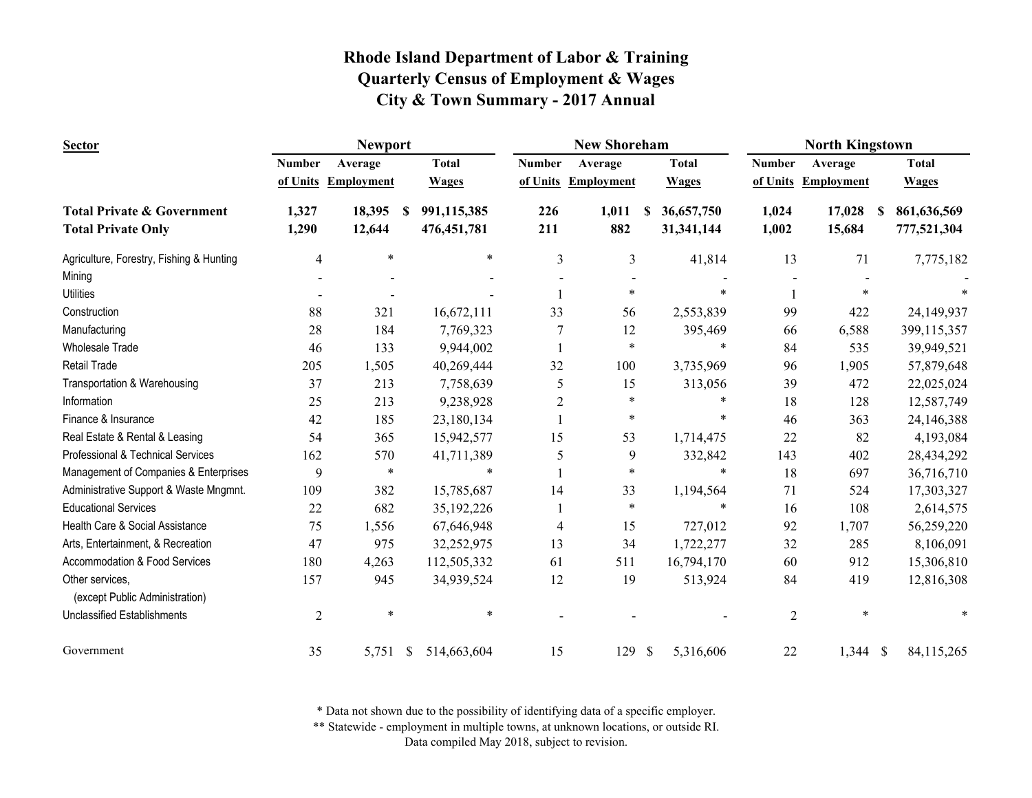| <b>Sector</b>                                     |                | <b>Newport</b>      |                             |                | <b>New Shoreham</b> |                           | <b>North Kingstown</b> |                   |                  |  |
|---------------------------------------------------|----------------|---------------------|-----------------------------|----------------|---------------------|---------------------------|------------------------|-------------------|------------------|--|
|                                                   | <b>Number</b>  | Average             | <b>Total</b>                | <b>Number</b>  | Average             | <b>Total</b>              | <b>Number</b>          | Average           | <b>Total</b>     |  |
|                                                   |                | of Units Employment | <b>Wages</b>                |                | of Units Employment | <b>Wages</b>              | of Units               | <b>Employment</b> | <b>Wages</b>     |  |
| <b>Total Private &amp; Government</b>             | 1,327          | 18,395              | 991,115,385<br><sup>S</sup> | 226            | 1,011               | 36,657,750<br>S.          | 1,024                  | 17,028            | 861,636,569<br>S |  |
| <b>Total Private Only</b>                         | 1,290          | 12,644              | 476, 451, 781               | 211            | 882                 | 31,341,144                | 1,002                  | 15,684            | 777,521,304      |  |
| Agriculture, Forestry, Fishing & Hunting          | 4              | $\ast$              | $\ast$                      | 3              | 3                   | 41,814                    | 13                     | 71                | 7,775,182        |  |
| Mining                                            |                |                     |                             |                |                     |                           |                        |                   |                  |  |
| <b>Utilities</b>                                  |                |                     |                             |                | $\ast$              | $\ast$                    |                        | $\ast$            |                  |  |
| Construction                                      | 88             | 321                 | 16,672,111                  | 33             | 56                  | 2,553,839                 | 99                     | 422               | 24,149,937       |  |
| Manufacturing                                     | 28             | 184                 | 7,769,323                   |                | 12                  | 395,469                   | 66                     | 6,588             | 399,115,357      |  |
| <b>Wholesale Trade</b>                            | 46             | 133                 | 9,944,002                   |                | $\ast$              | $\ast$                    | 84                     | 535               | 39,949,521       |  |
| Retail Trade                                      | 205            | 1,505               | 40,269,444                  | 32             | 100                 | 3,735,969                 | 96                     | 1,905             | 57,879,648       |  |
| Transportation & Warehousing                      | 37             | 213                 | 7,758,639                   | 5              | 15                  | 313,056                   | 39                     | 472               | 22,025,024       |  |
| Information                                       | 25             | 213                 | 9,238,928                   | $\overline{c}$ | $\ast$              | $\ast$                    | 18                     | 128               | 12,587,749       |  |
| Finance & Insurance                               | 42             | 185                 | 23,180,134                  |                | $\ast$              | $\ast$                    | 46                     | 363               | 24,146,388       |  |
| Real Estate & Rental & Leasing                    | 54             | 365                 | 15,942,577                  | 15             | 53                  | 1,714,475                 | 22                     | 82                | 4,193,084        |  |
| Professional & Technical Services                 | 162            | 570                 | 41,711,389                  | 5              | 9                   | 332,842                   | 143                    | 402               | 28,434,292       |  |
| Management of Companies & Enterprises             | 9              | $\ast$              | $\ast$                      |                | $\ast$              | $\ast$                    | 18                     | 697               | 36,716,710       |  |
| Administrative Support & Waste Mngmnt.            | 109            | 382                 | 15,785,687                  | 14             | 33                  | 1,194,564                 | 71                     | 524               | 17,303,327       |  |
| <b>Educational Services</b>                       | 22             | 682                 | 35,192,226                  |                | $\ast$              | $\ast$                    | 16                     | 108               | 2,614,575        |  |
| Health Care & Social Assistance                   | 75             | 1,556               | 67,646,948                  | 4              | 15                  | 727,012                   | 92                     | 1,707             | 56,259,220       |  |
| Arts, Entertainment, & Recreation                 | 47             | 975                 | 32,252,975                  | 13             | 34                  | 1,722,277                 | 32                     | 285               | 8,106,091        |  |
| Accommodation & Food Services                     | 180            | 4,263               | 112,505,332                 | 61             | 511                 | 16,794,170                | 60                     | 912               | 15,306,810       |  |
| Other services,<br>(except Public Administration) | 157            | 945                 | 34,939,524                  | 12             | 19                  | 513,924                   | 84                     | 419               | 12,816,308       |  |
| <b>Unclassified Establishments</b>                | $\overline{2}$ | $\ast$              | $\ast$                      |                |                     |                           | $\overline{c}$         | $\ast$            |                  |  |
| Government                                        | 35             | 5,751               | -S<br>514,663,604           | 15             | 129                 | $\mathbb{S}$<br>5,316,606 | 22                     | $1,344$ \$        | 84, 115, 265     |  |

\* Data not shown due to the possibility of identifying data of a specific employer.

\*\* Statewide - employment in multiple towns, at unknown locations, or outside RI.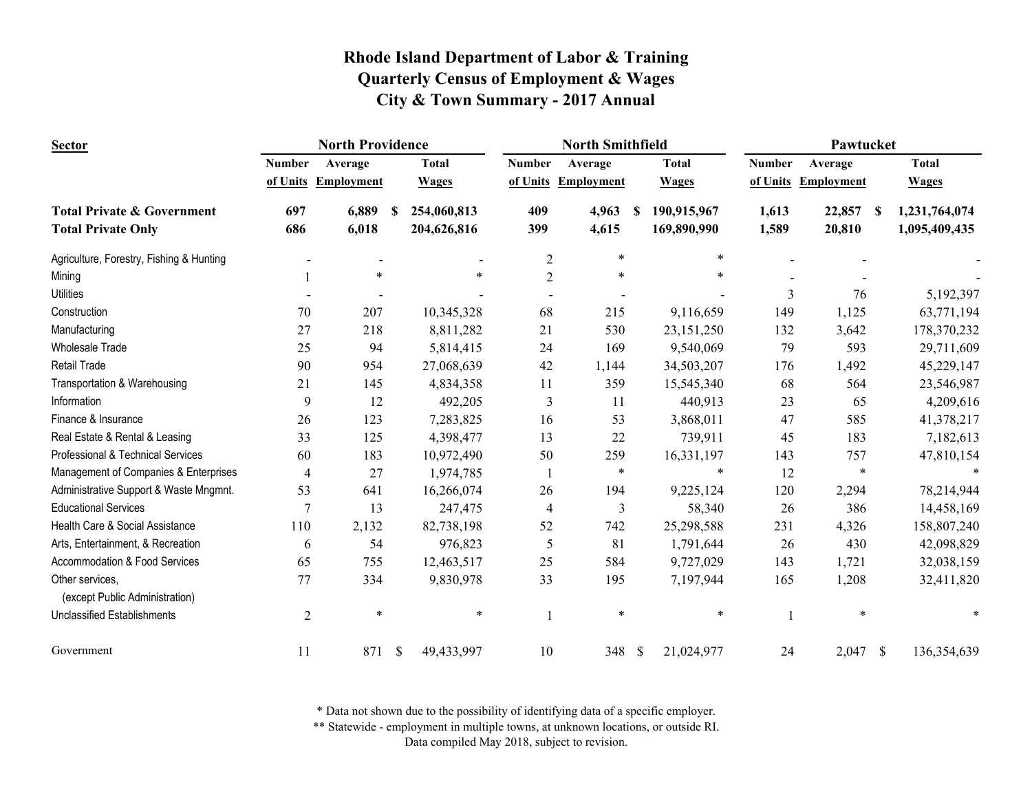| <b>Sector</b>                                     | <b>North Providence</b> |                   |               |              | <b>North Smithfield</b> |                   |              |              | Pawtucket     |                   |    |               |
|---------------------------------------------------|-------------------------|-------------------|---------------|--------------|-------------------------|-------------------|--------------|--------------|---------------|-------------------|----|---------------|
|                                                   | <b>Number</b>           | Average           |               | <b>Total</b> | <b>Number</b>           | Average           |              | <b>Total</b> | <b>Number</b> | Average           |    | <b>Total</b>  |
|                                                   | of Units                | <b>Employment</b> |               | <b>Wages</b> | of Units                | <b>Employment</b> |              | <b>Wages</b> | of Units      | <b>Employment</b> |    | <b>Wages</b>  |
| <b>Total Private &amp; Government</b>             | 697                     | 6,889             | -S            | 254,060,813  | 409                     | 4,963             | S            | 190,915,967  | 1,613         | 22,857            | -S | 1,231,764,074 |
| <b>Total Private Only</b>                         | 686                     | 6,018             |               | 204,626,816  | 399                     | 4,615             |              | 169,890,990  | 1,589         | 20,810            |    | 1,095,409,435 |
| Agriculture, Forestry, Fishing & Hunting          |                         |                   |               |              | $\mathfrak{2}$          | $\ast$            |              | $\ast$       |               |                   |    |               |
| Mining                                            |                         | $\ast$            |               | $\ast$       | $\mathfrak{2}$          | $\ast$            |              | $\ast$       |               |                   |    |               |
| <b>Utilities</b>                                  |                         |                   |               |              |                         |                   |              |              | 3             | 76                |    | 5,192,397     |
| Construction                                      | 70                      | 207               |               | 10,345,328   | 68                      | 215               |              | 9,116,659    | 149           | 1,125             |    | 63,771,194    |
| Manufacturing                                     | 27                      | 218               |               | 8,811,282    | 21                      | 530               |              | 23,151,250   | 132           | 3,642             |    | 178,370,232   |
| <b>Wholesale Trade</b>                            | 25                      | 94                |               | 5,814,415    | 24                      | 169               |              | 9,540,069    | 79            | 593               |    | 29,711,609    |
| <b>Retail Trade</b>                               | 90                      | 954               |               | 27,068,639   | 42                      | 1,144             |              | 34,503,207   | 176           | 1,492             |    | 45,229,147    |
| Transportation & Warehousing                      | 21                      | 145               |               | 4,834,358    | 11                      | 359               |              | 15,545,340   | 68            | 564               |    | 23,546,987    |
| Information                                       | 9                       | 12                |               | 492,205      | $\overline{3}$          | 11                |              | 440,913      | 23            | 65                |    | 4,209,616     |
| Finance & Insurance                               | 26                      | 123               |               | 7,283,825    | 16                      | 53                |              | 3,868,011    | 47            | 585               |    | 41,378,217    |
| Real Estate & Rental & Leasing                    | 33                      | 125               |               | 4,398,477    | 13                      | 22                |              | 739,911      | 45            | 183               |    | 7,182,613     |
| Professional & Technical Services                 | 60                      | 183               |               | 10,972,490   | 50                      | 259               |              | 16,331,197   | 143           | 757               |    | 47,810,154    |
| Management of Companies & Enterprises             | $\overline{4}$          | 27                |               | 1,974,785    |                         | $\ast$            |              | $\ast$       | 12            | $\ast$            |    |               |
| Administrative Support & Waste Mngmnt.            | 53                      | 641               |               | 16,266,074   | 26                      | 194               |              | 9,225,124    | 120           | 2,294             |    | 78,214,944    |
| <b>Educational Services</b>                       | $\overline{7}$          | 13                |               | 247,475      | $\overline{4}$          | $\mathfrak{Z}$    |              | 58,340       | 26            | 386               |    | 14,458,169    |
| Health Care & Social Assistance                   | 110                     | 2,132             |               | 82,738,198   | 52                      | 742               |              | 25,298,588   | 231           | 4,326             |    | 158,807,240   |
| Arts, Entertainment, & Recreation                 | 6                       | 54                |               | 976,823      | 5                       | 81                |              | 1,791,644    | 26            | 430               |    | 42,098,829    |
| Accommodation & Food Services                     | 65                      | 755               |               | 12,463,517   | 25                      | 584               |              | 9,727,029    | 143           | 1,721             |    | 32,038,159    |
| Other services,<br>(except Public Administration) | 77                      | 334               |               | 9,830,978    | 33                      | 195               |              | 7,197,944    | 165           | 1,208             |    | 32,411,820    |
| <b>Unclassified Establishments</b>                | $\overline{2}$          | $\ast$            |               | $\ast$       |                         | $\ast$            |              | $\ast$       |               | $\ast$            |    |               |
| Government                                        | 11                      | 871               | $\mathcal{S}$ | 49,433,997   | 10                      | 348               | $\mathbb{S}$ | 21,024,977   | 24            | $2,047$ \$        |    | 136,354,639   |

\* Data not shown due to the possibility of identifying data of a specific employer.

\*\* Statewide - employment in multiple towns, at unknown locations, or outside RI.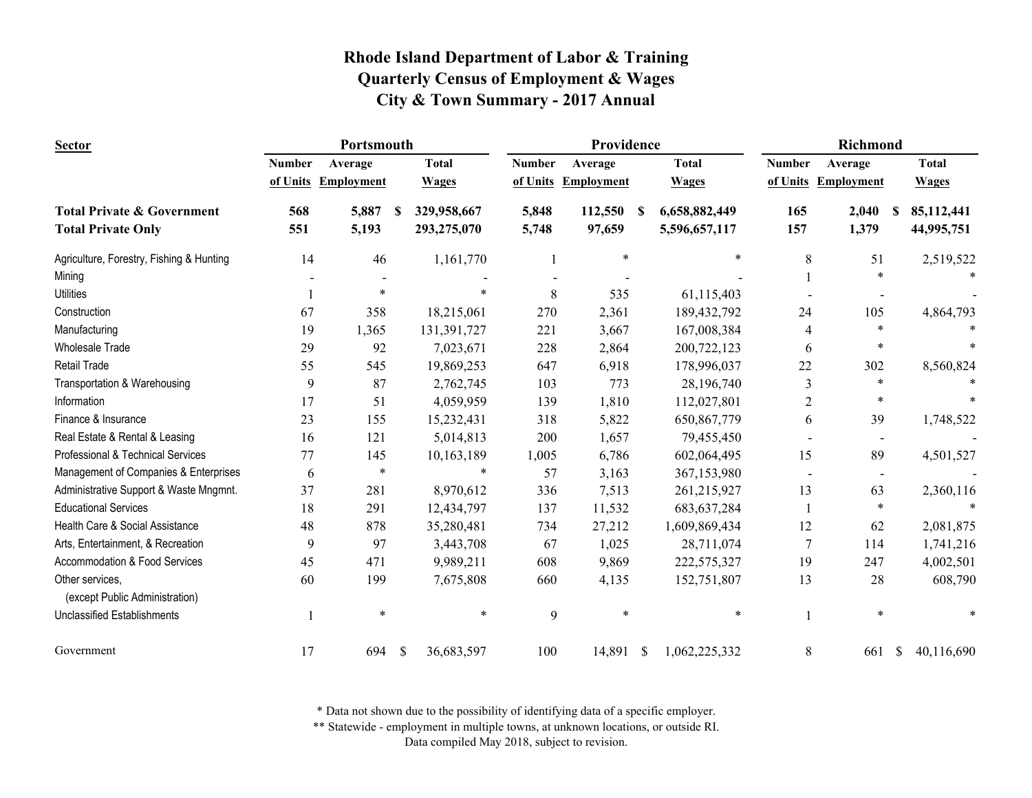| <b>Sector</b>                                     | Portsmouth    |                   |    |              | Providence    |                     |    |               | Richmond       |                          |               |              |
|---------------------------------------------------|---------------|-------------------|----|--------------|---------------|---------------------|----|---------------|----------------|--------------------------|---------------|--------------|
|                                                   | <b>Number</b> | Average           |    | <b>Total</b> | <b>Number</b> | Average             |    | <b>Total</b>  | <b>Number</b>  | Average                  |               | <b>Total</b> |
|                                                   | of Units      | <b>Employment</b> |    | <b>Wages</b> |               | of Units Employment |    | <b>Wages</b>  |                | of Units Employment      |               | <b>Wages</b> |
| <b>Total Private &amp; Government</b>             | 568           | 5,887             | -S | 329,958,667  | 5,848         | 112,550             | -S | 6,658,882,449 | 165            | 2,040                    | -S            | 85,112,441   |
| <b>Total Private Only</b>                         | 551           | 5,193             |    | 293,275,070  | 5,748         | 97,659              |    | 5,596,657,117 | 157            | 1,379                    |               | 44,995,751   |
| Agriculture, Forestry, Fishing & Hunting          | 14            | 46                |    | 1,161,770    |               | ∗                   |    | $\ast$        | 8              | 51                       |               | 2,519,522    |
| Mining                                            |               |                   |    |              |               |                     |    |               |                | $\ast$                   |               |              |
| <b>Utilities</b>                                  |               | $\ast$            |    |              | 8             | 535                 |    | 61,115,403    |                |                          |               |              |
| Construction                                      | 67            | 358               |    | 18,215,061   | 270           | 2,361               |    | 189,432,792   | 24             | 105                      |               | 4,864,793    |
| Manufacturing                                     | 19            | 1,365             |    | 131,391,727  | 221           | 3,667               |    | 167,008,384   | 4              | $\ast$                   |               |              |
| <b>Wholesale Trade</b>                            | 29            | 92                |    | 7,023,671    | 228           | 2,864               |    | 200,722,123   | 6              | $\ast$                   |               |              |
| <b>Retail Trade</b>                               | 55            | 545               |    | 19,869,253   | 647           | 6,918               |    | 178,996,037   | 22             | 302                      |               | 8,560,824    |
| Transportation & Warehousing                      | 9             | 87                |    | 2,762,745    | 103           | 773                 |    | 28,196,740    | 3              | $\ast$                   |               |              |
| Information                                       | 17            | 51                |    | 4,059,959    | 139           | 1,810               |    | 112,027,801   | 2              | $\ast$                   |               |              |
| Finance & Insurance                               | 23            | 155               |    | 15,232,431   | 318           | 5,822               |    | 650,867,779   | 6              | 39                       |               | 1,748,522    |
| Real Estate & Rental & Leasing                    | 16            | 121               |    | 5,014,813    | 200           | 1,657               |    | 79,455,450    |                | $\overline{\phantom{a}}$ |               |              |
| Professional & Technical Services                 | 77            | 145               |    | 10,163,189   | 1,005         | 6,786               |    | 602,064,495   | 15             | 89                       |               | 4,501,527    |
| Management of Companies & Enterprises             | 6             | $\ast$            |    | *            | 57            | 3,163               |    | 367,153,980   |                | $\blacksquare$           |               |              |
| Administrative Support & Waste Mngmnt.            | 37            | 281               |    | 8,970,612    | 336           | 7,513               |    | 261,215,927   | 13             | 63                       |               | 2,360,116    |
| <b>Educational Services</b>                       | 18            | 291               |    | 12,434,797   | 137           | 11,532              |    | 683, 637, 284 |                | $\ast$                   |               |              |
| Health Care & Social Assistance                   | 48            | 878               |    | 35,280,481   | 734           | 27,212              |    | 1,609,869,434 | 12             | 62                       |               | 2,081,875    |
| Arts, Entertainment, & Recreation                 | 9             | 97                |    | 3,443,708    | 67            | 1,025               |    | 28,711,074    | $\overline{7}$ | 114                      |               | 1,741,216    |
| Accommodation & Food Services                     | 45            | 471               |    | 9,989,211    | 608           | 9,869               |    | 222,575,327   | 19             | 247                      |               | 4,002,501    |
| Other services,<br>(except Public Administration) | 60            | 199               |    | 7,675,808    | 660           | 4,135               |    | 152,751,807   | 13             | 28                       |               | 608,790      |
| <b>Unclassified Establishments</b>                |               | $\ast$            |    | $\ast$       | 9             | $\ast$              |    | $\ast$        |                | $\ast$                   |               |              |
| Government                                        | 17            | 694               | \$ | 36,683,597   | 100           | 14,891 \$           |    | 1,062,225,332 | 8              | 661                      | <sup>\$</sup> | 40,116,690   |

\* Data not shown due to the possibility of identifying data of a specific employer.

\*\* Statewide - employment in multiple towns, at unknown locations, or outside RI.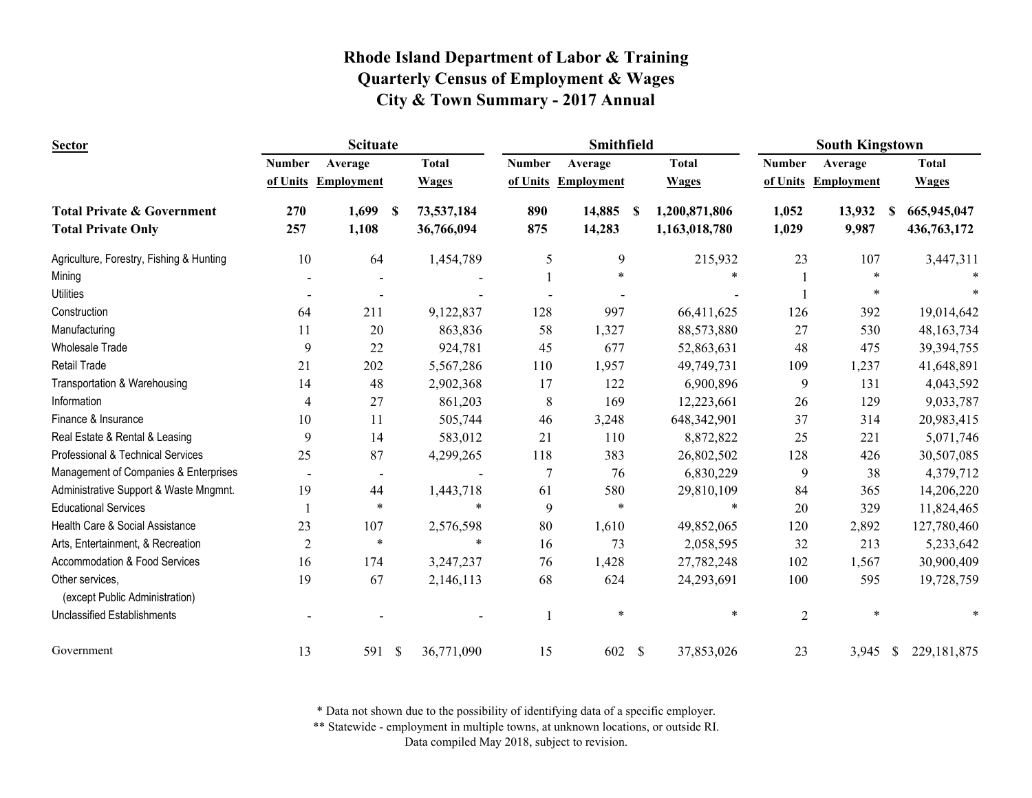| <b>Sector</b>                            |                | <b>Scituate</b>          |                             |               | Smithfield        |                               | <b>South Kingstown</b> |                     |                         |  |
|------------------------------------------|----------------|--------------------------|-----------------------------|---------------|-------------------|-------------------------------|------------------------|---------------------|-------------------------|--|
|                                          | <b>Number</b>  | Average                  | <b>Total</b>                | <b>Number</b> | Average           | <b>Total</b>                  | <b>Number</b>          | Average             | <b>Total</b>            |  |
|                                          | of Units       | <b>Employment</b>        | <b>Wages</b>                | of Units      | <b>Employment</b> | <b>Wages</b>                  |                        | of Units Employment | <b>Wages</b>            |  |
| <b>Total Private &amp; Government</b>    | 270            | 1,699                    | 73,537,184<br><sup>\$</sup> | 890           | 14,885            | 1,200,871,806<br><sup>S</sup> | 1,052                  | 13,932              | 665,945,047<br><b>S</b> |  |
| <b>Total Private Only</b>                | 257            | 1,108                    | 36,766,094                  | 875           | 14,283            | 1,163,018,780                 | 1,029                  | 9,987               | 436,763,172             |  |
| Agriculture, Forestry, Fishing & Hunting | 10             | 64                       | 1,454,789                   | 5             | 9                 | 215,932                       | 23                     | 107                 | 3,447,311               |  |
| Mining                                   |                |                          |                             |               | $\ast$            |                               |                        | $\ast$              |                         |  |
| <b>Utilities</b>                         |                |                          |                             |               |                   |                               |                        |                     |                         |  |
| Construction                             | 64             | 211                      | 9,122,837                   | 128           | 997               | 66,411,625                    | 126                    | 392                 | 19,014,642              |  |
| Manufacturing                            | 11             | 20                       | 863,836                     | 58            | 1,327             | 88,573,880                    | 27                     | 530                 | 48, 163, 734            |  |
| <b>Wholesale Trade</b>                   | 9              | 22                       | 924,781                     | 45            | 677               | 52,863,631                    | 48                     | 475                 | 39,394,755              |  |
| Retail Trade                             | 21             | 202                      | 5,567,286                   | 110           | 1,957             | 49,749,731                    | 109                    | 1,237               | 41,648,891              |  |
| Transportation & Warehousing             | 14             | 48                       | 2,902,368                   | 17            | 122               | 6,900,896                     | 9                      | 131                 | 4,043,592               |  |
| Information                              | $\overline{4}$ | 27                       | 861,203                     | 8             | 169               | 12,223,661                    | 26                     | 129                 | 9,033,787               |  |
| Finance & Insurance                      | 10             | 11                       | 505,744                     | 46            | 3,248             | 648,342,901                   | 37                     | 314                 | 20,983,415              |  |
| Real Estate & Rental & Leasing           | 9              | 14                       | 583,012                     | 21            | 110               | 8,872,822                     | 25                     | 221                 | 5,071,746               |  |
| Professional & Technical Services        | 25             | 87                       | 4,299,265                   | 118           | 383               | 26,802,502                    | 128                    | 426                 | 30,507,085              |  |
| Management of Companies & Enterprises    |                | $\overline{\phantom{a}}$ |                             | 7             | 76                | 6,830,229                     | 9                      | 38                  | 4,379,712               |  |
| Administrative Support & Waste Mngmnt.   | 19             | 44                       | 1,443,718                   | 61            | 580               | 29,810,109                    | 84                     | 365                 | 14,206,220              |  |
| <b>Educational Services</b>              |                | $\ast$                   | $\ast$                      | 9             | $\ast$            | $\ast$                        | 20                     | 329                 | 11,824,465              |  |
| Health Care & Social Assistance          | 23             | 107                      | 2,576,598                   | 80            | 1,610             | 49,852,065                    | 120                    | 2,892               | 127,780,460             |  |
| Arts, Entertainment, & Recreation        | $\overline{2}$ | $\ast$                   | $\ast$                      | 16            | 73                | 2,058,595                     | 32                     | 213                 | 5,233,642               |  |
| Accommodation & Food Services            | 16             | 174                      | 3,247,237                   | 76            | 1,428             | 27,782,248                    | 102                    | 1,567               | 30,900,409              |  |
| Other services,                          | 19             | 67                       | 2,146,113                   | 68            | 624               | 24,293,691                    | 100                    | 595                 | 19,728,759              |  |
| (except Public Administration)           |                |                          |                             |               |                   | $\ast$                        |                        |                     |                         |  |
| <b>Unclassified Establishments</b>       |                |                          |                             |               | $\ast$            |                               | $\overline{2}$         | $\ast$              |                         |  |
| Government                               | 13             | 591 \$                   | 36,771,090                  | 15            | 602               | $\mathcal{S}$<br>37,853,026   | 23                     | 3,945 \$            | 229, 181, 875           |  |

\* Data not shown due to the possibility of identifying data of a specific employer.

\*\* Statewide - employment in multiple towns, at unknown locations, or outside RI.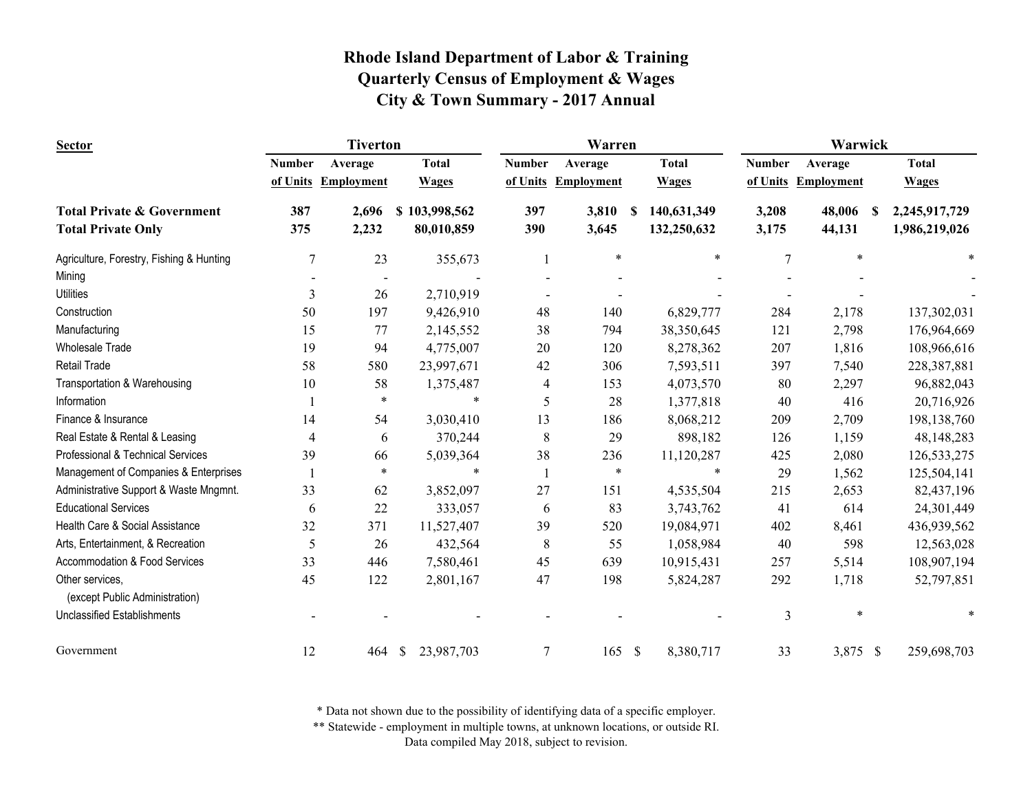| <b>Sector</b>                                     |                | <b>Tiverton</b>     |                             | Warren         |                   |               |              | Warwick        |                     |                    |  |
|---------------------------------------------------|----------------|---------------------|-----------------------------|----------------|-------------------|---------------|--------------|----------------|---------------------|--------------------|--|
|                                                   | <b>Number</b>  | Average             | <b>Total</b>                | <b>Number</b>  | Average           |               | <b>Total</b> | <b>Number</b>  | Average             | <b>Total</b>       |  |
|                                                   |                | of Units Employment | <b>Wages</b>                | of Units       | <b>Employment</b> |               | <b>Wages</b> |                | of Units Employment | <b>Wages</b>       |  |
| <b>Total Private &amp; Government</b>             | 387            | 2,696               | \$103,998,562               | 397            | 3,810             | -S            | 140,631,349  | 3,208          | 48,006              | 2,245,917,729<br>S |  |
| <b>Total Private Only</b>                         | 375            | 2,232               | 80,010,859                  | 390            | 3,645             |               | 132,250,632  | 3,175          | 44,131              | 1,986,219,026      |  |
| Agriculture, Forestry, Fishing & Hunting          | $\overline{7}$ | 23                  | 355,673                     |                | $\ast$            |               | $\ast$       | $\overline{7}$ | $\ast$              |                    |  |
| Mining                                            |                |                     |                             |                |                   |               |              |                |                     |                    |  |
| <b>Utilities</b>                                  | 3              | 26                  | 2,710,919                   |                |                   |               |              |                |                     |                    |  |
| Construction                                      | 50             | 197                 | 9,426,910                   | 48             | 140               |               | 6,829,777    | 284            | 2,178               | 137,302,031        |  |
| Manufacturing                                     | 15             | 77                  | 2,145,552                   | 38             | 794               |               | 38,350,645   | 121            | 2,798               | 176,964,669        |  |
| <b>Wholesale Trade</b>                            | 19             | 94                  | 4,775,007                   | 20             | 120               |               | 8,278,362    | 207            | 1,816               | 108,966,616        |  |
| <b>Retail Trade</b>                               | 58             | 580                 | 23,997,671                  | 42             | 306               |               | 7,593,511    | 397            | 7,540               | 228,387,881        |  |
| Transportation & Warehousing                      | 10             | 58                  | 1,375,487                   | $\overline{4}$ | 153               |               | 4,073,570    | 80             | 2,297               | 96,882,043         |  |
| Information                                       |                | $\ast$              | $\ast$                      | 5              | 28                |               | 1,377,818    | 40             | 416                 | 20,716,926         |  |
| Finance & Insurance                               | 14             | 54                  | 3,030,410                   | 13             | 186               |               | 8,068,212    | 209            | 2,709               | 198,138,760        |  |
| Real Estate & Rental & Leasing                    | 4              | 6                   | 370,244                     | 8              | 29                |               | 898,182      | 126            | 1,159               | 48,148,283         |  |
| Professional & Technical Services                 | 39             | 66                  | 5,039,364                   | 38             | 236               |               | 11,120,287   | 425            | 2,080               | 126,533,275        |  |
| Management of Companies & Enterprises             |                | $\ast$              | $\ast$                      |                | $\ast$            |               | $\ast$       | 29             | 1,562               | 125,504,141        |  |
| Administrative Support & Waste Mngmnt.            | 33             | 62                  | 3,852,097                   | 27             | 151               |               | 4,535,504    | 215            | 2,653               | 82,437,196         |  |
| <b>Educational Services</b>                       | 6              | 22                  | 333,057                     | 6              | 83                |               | 3,743,762    | 41             | 614                 | 24,301,449         |  |
| Health Care & Social Assistance                   | 32             | 371                 | 11,527,407                  | 39             | 520               |               | 19,084,971   | 402            | 8,461               | 436,939,562        |  |
| Arts, Entertainment, & Recreation                 | 5              | 26                  | 432,564                     | 8              | 55                |               | 1,058,984    | 40             | 598                 | 12,563,028         |  |
| Accommodation & Food Services                     | 33             | 446                 | 7,580,461                   | 45             | 639               |               | 10,915,431   | 257            | 5,514               | 108,907,194        |  |
| Other services,<br>(except Public Administration) | 45             | 122                 | 2,801,167                   | 47             | 198               |               | 5,824,287    | 292            | 1,718               | 52,797,851         |  |
| <b>Unclassified Establishments</b>                |                |                     |                             |                |                   |               |              | 3              | $\ast$              |                    |  |
| Government                                        | 12             | 464                 | 23,987,703<br>$\mathcal{S}$ | $\overline{7}$ | 165               | $\mathcal{S}$ | 8,380,717    | 33             | 3,875 \$            | 259,698,703        |  |

\* Data not shown due to the possibility of identifying data of a specific employer.

\*\* Statewide - employment in multiple towns, at unknown locations, or outside RI.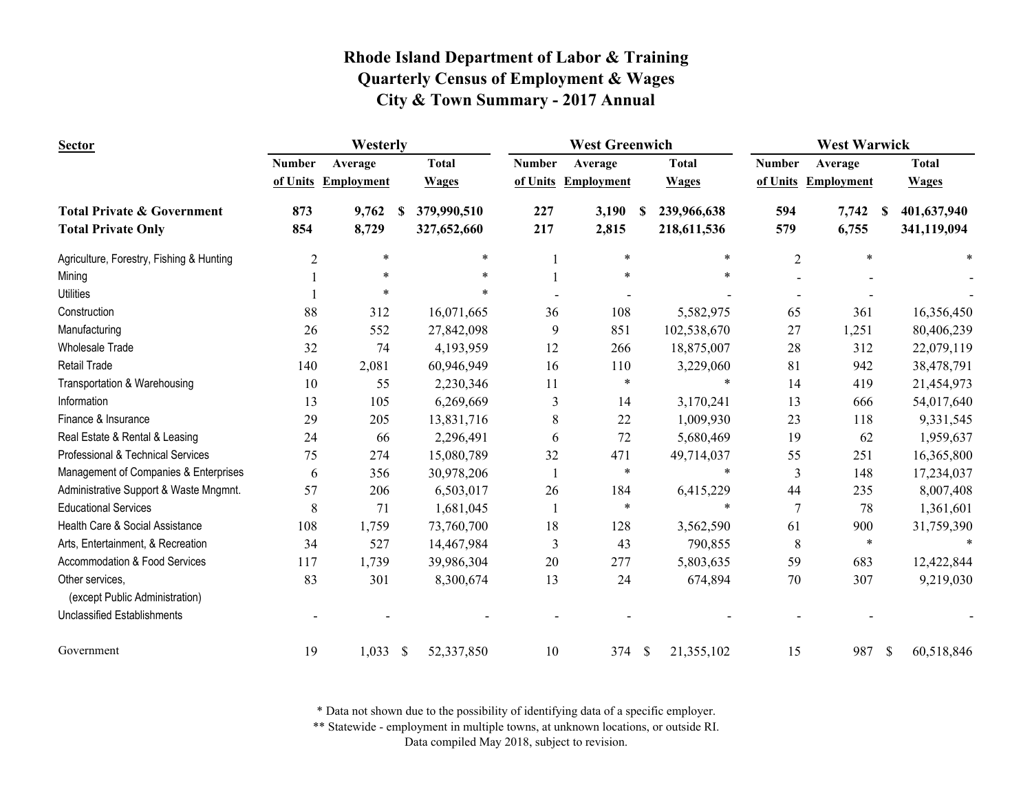| Sector                                            | Westerly       |                     |              |              |               | <b>West Greenwich</b> |   | <b>West Warwick</b> |                |                     |               |              |
|---------------------------------------------------|----------------|---------------------|--------------|--------------|---------------|-----------------------|---|---------------------|----------------|---------------------|---------------|--------------|
|                                                   | <b>Number</b>  | Average             |              | <b>Total</b> | <b>Number</b> | Average               |   | <b>Total</b>        | <b>Number</b>  | Average             |               | <b>Total</b> |
|                                                   |                | of Units Employment |              | <b>Wages</b> |               | of Units Employment   |   | <b>Wages</b>        |                | of Units Employment |               | <b>Wages</b> |
| <b>Total Private &amp; Government</b>             | 873            | 9,762               | S            | 379,990,510  | 227           | 3,190                 | S | 239,966,638         | 594            | 7,742<br>-S         |               | 401,637,940  |
| <b>Total Private Only</b>                         | 854            | 8,729               |              | 327,652,660  | 217           | 2,815                 |   | 218,611,536         | 579            | 6,755               |               | 341,119,094  |
| Agriculture, Forestry, Fishing & Hunting          | $\overline{2}$ | $\ast$              |              | $\ast$       |               | $\ast$                |   | *                   | $\overline{2}$ | $\ast$              |               |              |
| Mining                                            |                | $\ast$              |              |              |               | $\ast$                |   | $\ast$              |                |                     |               |              |
| <b>Utilities</b>                                  |                | $\ast$              |              |              |               |                       |   |                     |                |                     |               |              |
| Construction                                      | 88             | 312                 |              | 16,071,665   | 36            | 108                   |   | 5,582,975           | 65             | 361                 |               | 16,356,450   |
| Manufacturing                                     | 26             | 552                 |              | 27,842,098   | 9             | 851                   |   | 102,538,670         | 27             | 1,251               |               | 80,406,239   |
| <b>Wholesale Trade</b>                            | 32             | 74                  |              | 4,193,959    | 12            | 266                   |   | 18,875,007          | 28             | 312                 |               | 22,079,119   |
| <b>Retail Trade</b>                               | 140            | 2,081               |              | 60,946,949   | 16            | 110                   |   | 3,229,060           | 81             | 942                 |               | 38,478,791   |
| Transportation & Warehousing                      | 10             | 55                  |              | 2,230,346    | 11            | $\ast$                |   | *                   | 14             | 419                 |               | 21,454,973   |
| Information                                       | 13             | 105                 |              | 6,269,669    | 3             | 14                    |   | 3,170,241           | 13             | 666                 |               | 54,017,640   |
| Finance & Insurance                               | 29             | 205                 |              | 13,831,716   | $\,8\,$       | 22                    |   | 1,009,930           | 23             | 118                 |               | 9,331,545    |
| Real Estate & Rental & Leasing                    | 24             | 66                  |              | 2,296,491    | 6             | 72                    |   | 5,680,469           | 19             | 62                  |               | 1,959,637    |
| Professional & Technical Services                 | 75             | 274                 |              | 15,080,789   | 32            | 471                   |   | 49,714,037          | 55             | 251                 |               | 16,365,800   |
| Management of Companies & Enterprises             | 6              | 356                 |              | 30,978,206   |               | $\ast$                |   | $\ast$              | 3              | 148                 |               | 17,234,037   |
| Administrative Support & Waste Mngmnt.            | 57             | 206                 |              | 6,503,017    | 26            | 184                   |   | 6,415,229           | 44             | 235                 |               | 8,007,408    |
| <b>Educational Services</b>                       | 8              | 71                  |              | 1,681,045    |               | $\ast$                |   | $\ast$              | $\overline{7}$ | 78                  |               | 1,361,601    |
| Health Care & Social Assistance                   | 108            | 1,759               |              | 73,760,700   | 18            | 128                   |   | 3,562,590           | 61             | 900                 |               | 31,759,390   |
| Arts, Entertainment, & Recreation                 | 34             | 527                 |              | 14,467,984   | 3             | 43                    |   | 790,855             | 8              | $\ast$              |               |              |
| Accommodation & Food Services                     | 117            | 1,739               |              | 39,986,304   | 20            | 277                   |   | 5,803,635           | 59             | 683                 |               | 12,422,844   |
| Other services,<br>(except Public Administration) | 83             | 301                 |              | 8,300,674    | 13            | 24                    |   | 674,894             | $70\,$         | 307                 |               | 9,219,030    |
| <b>Unclassified Establishments</b>                |                |                     |              |              |               |                       |   |                     |                |                     |               |              |
| Government                                        | 19             | 1,033               | $\mathbb{S}$ | 52,337,850   | 10            | 374 \$                |   | 21,355,102          | 15             | 987                 | $\mathcal{S}$ | 60,518,846   |

\* Data not shown due to the possibility of identifying data of a specific employer.

\*\* Statewide - employment in multiple towns, at unknown locations, or outside RI.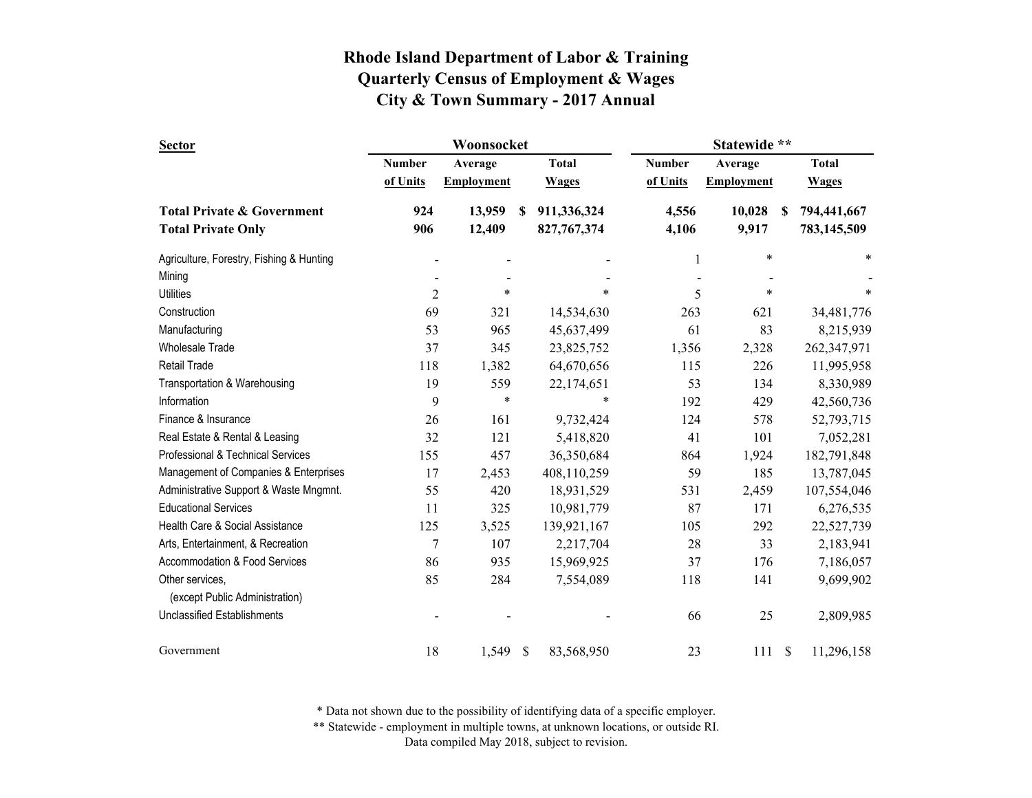| <b>Sector</b>                            |                | Woonsocket        |    |               | Statewide **  |                   |               |              |  |  |
|------------------------------------------|----------------|-------------------|----|---------------|---------------|-------------------|---------------|--------------|--|--|
|                                          | <b>Number</b>  | Average           |    | <b>Total</b>  | <b>Number</b> | Average           |               | <b>Total</b> |  |  |
|                                          | of Units       | <b>Employment</b> |    | <b>Wages</b>  | of Units      | <b>Employment</b> |               | <b>Wages</b> |  |  |
| <b>Total Private &amp; Government</b>    | 924            | 13,959            | S  | 911,336,324   | 4,556         | 10,028            | \$.           | 794,441,667  |  |  |
| <b>Total Private Only</b>                | 906            | 12,409            |    | 827, 767, 374 | 4,106         | 9,917             |               | 783,145,509  |  |  |
| Agriculture, Forestry, Fishing & Hunting |                |                   |    |               | 1             | $\ast$            |               | *            |  |  |
| Mining                                   |                |                   |    |               |               |                   |               |              |  |  |
| <b>Utilities</b>                         | $\overline{2}$ | $\ast$            |    | $\ast$        | 5             | $\ast$            |               | $\ast$       |  |  |
| Construction                             | 69             | 321               |    | 14,534,630    | 263           | 621               |               | 34,481,776   |  |  |
| Manufacturing                            | 53             | 965               |    | 45,637,499    | 61            | 83                |               | 8,215,939    |  |  |
| <b>Wholesale Trade</b>                   | 37             | 345               |    | 23,825,752    | 1,356         | 2,328             |               | 262,347,971  |  |  |
| Retail Trade                             | 118            | 1,382             |    | 64,670,656    | 115           | 226               |               | 11,995,958   |  |  |
| Transportation & Warehousing             | 19             | 559               |    | 22,174,651    | 53            | 134               |               | 8,330,989    |  |  |
| Information                              | 9              | $\ast$            |    | $\ast$        | 192           | 429               |               | 42,560,736   |  |  |
| Finance & Insurance                      | 26             | 161               |    | 9,732,424     | 124           | 578               |               | 52,793,715   |  |  |
| Real Estate & Rental & Leasing           | 32             | 121               |    | 5,418,820     | 41            | 101               |               | 7,052,281    |  |  |
| Professional & Technical Services        | 155            | 457               |    | 36,350,684    | 864           | 1,924             |               | 182,791,848  |  |  |
| Management of Companies & Enterprises    | 17             | 2,453             |    | 408,110,259   | 59            | 185               |               | 13,787,045   |  |  |
| Administrative Support & Waste Mngmnt.   | 55             | 420               |    | 18,931,529    | 531           | 2,459             |               | 107,554,046  |  |  |
| <b>Educational Services</b>              | 11             | 325               |    | 10,981,779    | 87            | 171               |               | 6,276,535    |  |  |
| Health Care & Social Assistance          | 125            | 3,525             |    | 139,921,167   | 105           | 292               |               | 22,527,739   |  |  |
| Arts, Entertainment, & Recreation        | $\overline{7}$ | 107               |    | 2,217,704     | 28            | 33                |               | 2,183,941    |  |  |
| Accommodation & Food Services            | 86             | 935               |    | 15,969,925    | 37            | 176               |               | 7,186,057    |  |  |
| Other services,                          | 85             | 284               |    | 7,554,089     | 118           | 141               |               | 9,699,902    |  |  |
| (except Public Administration)           |                |                   |    |               |               |                   |               |              |  |  |
| <b>Unclassified Establishments</b>       |                |                   |    |               | 66            | 25                |               | 2,809,985    |  |  |
| Government                               | 18             | 1,549             | \$ | 83,568,950    | 23            | 111               | <sup>\$</sup> | 11,296,158   |  |  |

\* Data not shown due to the possibility of identifying data of a specific employer.

\*\* Statewide - employment in multiple towns, at unknown locations, or outside RI.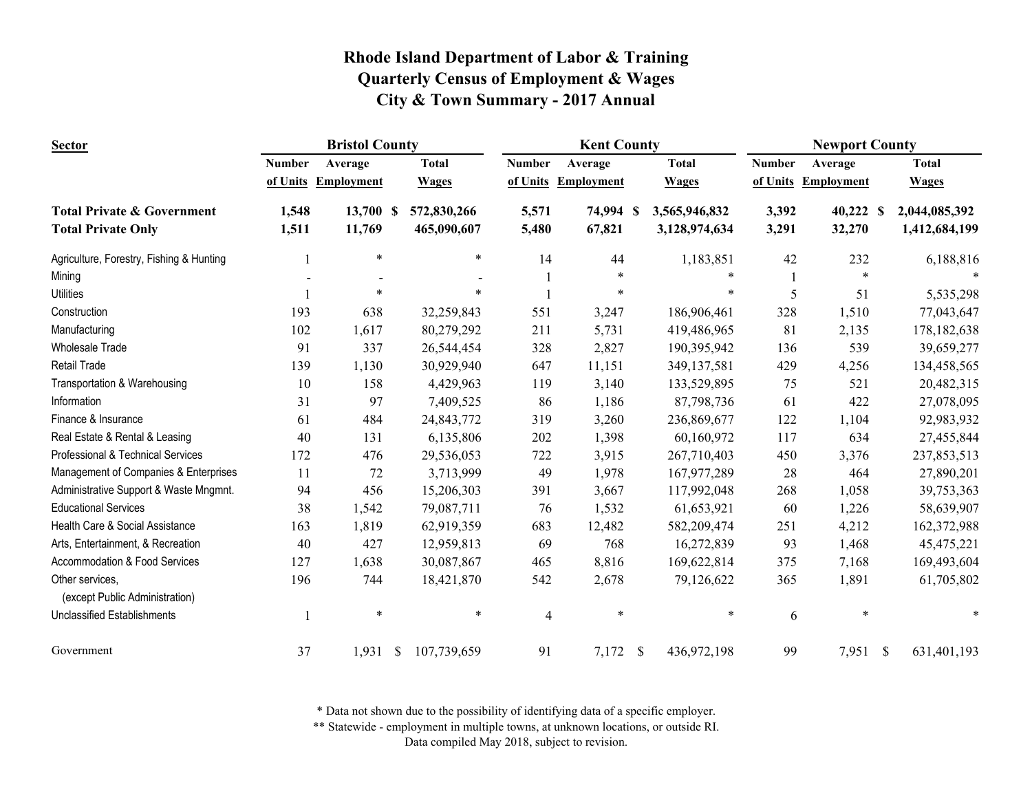| <b>Sector</b>                                     |               | <b>Bristol County</b> |              |                | <b>Kent County</b> |               |               | <b>Newport County</b> |                   |          |               |
|---------------------------------------------------|---------------|-----------------------|--------------|----------------|--------------------|---------------|---------------|-----------------------|-------------------|----------|---------------|
|                                                   | <b>Number</b> | Average               | <b>Total</b> | <b>Number</b>  | Average            |               | <b>Total</b>  | <b>Number</b>         | Average           |          | <b>Total</b>  |
|                                                   | of Units      | <b>Employment</b>     | <b>Wages</b> | of Units       | <b>Employment</b>  |               | <b>Wages</b>  | of Units              | <b>Employment</b> |          | <b>Wages</b>  |
| <b>Total Private &amp; Government</b>             | 1,548         | 13,700 \$             | 572,830,266  | 5,571          | 74,994 \$          |               | 3,565,946,832 | 3,392                 | 40,222 \$         |          | 2,044,085,392 |
| <b>Total Private Only</b>                         | 1,511         | 11,769                | 465,090,607  | 5,480          | 67,821             |               | 3,128,974,634 | 3,291                 | 32,270            |          | 1,412,684,199 |
| Agriculture, Forestry, Fishing & Hunting          |               | $\ast$                | ∗            | 14             | 44                 |               | 1,183,851     | 42                    | 232               |          | 6,188,816     |
| Mining                                            |               |                       |              |                | $\ast$             |               | $\ast$        |                       | $\ast$            |          |               |
| <b>Utilities</b>                                  |               | *                     |              |                | $\ast$             |               | *             | 5                     | 51                |          | 5,535,298     |
| Construction                                      | 193           | 638                   | 32,259,843   | 551            | 3,247              |               | 186,906,461   | 328                   | 1,510             |          | 77,043,647    |
| Manufacturing                                     | 102           | 1,617                 | 80,279,292   | 211            | 5,731              |               | 419,486,965   | 81                    | 2,135             |          | 178, 182, 638 |
| <b>Wholesale Trade</b>                            | 91            | 337                   | 26,544,454   | 328            | 2,827              |               | 190,395,942   | 136                   | 539               |          | 39,659,277    |
| Retail Trade                                      | 139           | 1,130                 | 30,929,940   | 647            | 11,151             |               | 349,137,581   | 429                   | 4,256             |          | 134,458,565   |
| Transportation & Warehousing                      | 10            | 158                   | 4,429,963    | 119            | 3,140              |               | 133,529,895   | 75                    | 521               |          | 20,482,315    |
| Information                                       | 31            | 97                    | 7,409,525    | 86             | 1,186              |               | 87,798,736    | 61                    | 422               |          | 27,078,095    |
| Finance & Insurance                               | 61            | 484                   | 24,843,772   | 319            | 3,260              |               | 236,869,677   | 122                   | 1,104             |          | 92,983,932    |
| Real Estate & Rental & Leasing                    | 40            | 131                   | 6,135,806    | 202            | 1,398              |               | 60,160,972    | 117                   | 634               |          | 27,455,844    |
| Professional & Technical Services                 | 172           | 476                   | 29,536,053   | 722            | 3,915              |               | 267,710,403   | 450                   | 3,376             |          | 237,853,513   |
| Management of Companies & Enterprises             | 11            | 72                    | 3,713,999    | 49             | 1,978              |               | 167,977,289   | 28                    | 464               |          | 27,890,201    |
| Administrative Support & Waste Mngmnt.            | 94            | 456                   | 15,206,303   | 391            | 3,667              |               | 117,992,048   | 268                   | 1,058             |          | 39,753,363    |
| <b>Educational Services</b>                       | 38            | 1,542                 | 79,087,711   | 76             | 1,532              |               | 61,653,921    | 60                    | 1,226             |          | 58,639,907    |
| Health Care & Social Assistance                   | 163           | 1,819                 | 62,919,359   | 683            | 12,482             |               | 582,209,474   | 251                   | 4,212             |          | 162,372,988   |
| Arts, Entertainment, & Recreation                 | 40            | 427                   | 12,959,813   | 69             | 768                |               | 16,272,839    | 93                    | 1,468             |          | 45, 475, 221  |
| Accommodation & Food Services                     | 127           | 1,638                 | 30,087,867   | 465            | 8,816              |               | 169,622,814   | 375                   | 7,168             |          | 169,493,604   |
| Other services,<br>(except Public Administration) | 196           | 744                   | 18,421,870   | 542            | 2,678              |               | 79,126,622    | 365                   | 1,891             |          | 61,705,802    |
| Unclassified Establishments                       |               | $\ast$                | $\ast$       | $\overline{4}$ | $\ast$             |               | $\ast$        | 6                     | $\ast$            |          |               |
| Government                                        | 37            | $1,931$ \$            | 107,739,659  | 91             | 7,172              | $\mathcal{S}$ | 436,972,198   | 99                    | 7,951             | <b>S</b> | 631,401,193   |

\* Data not shown due to the possibility of identifying data of a specific employer.

\*\* Statewide - employment in multiple towns, at unknown locations, or outside RI.